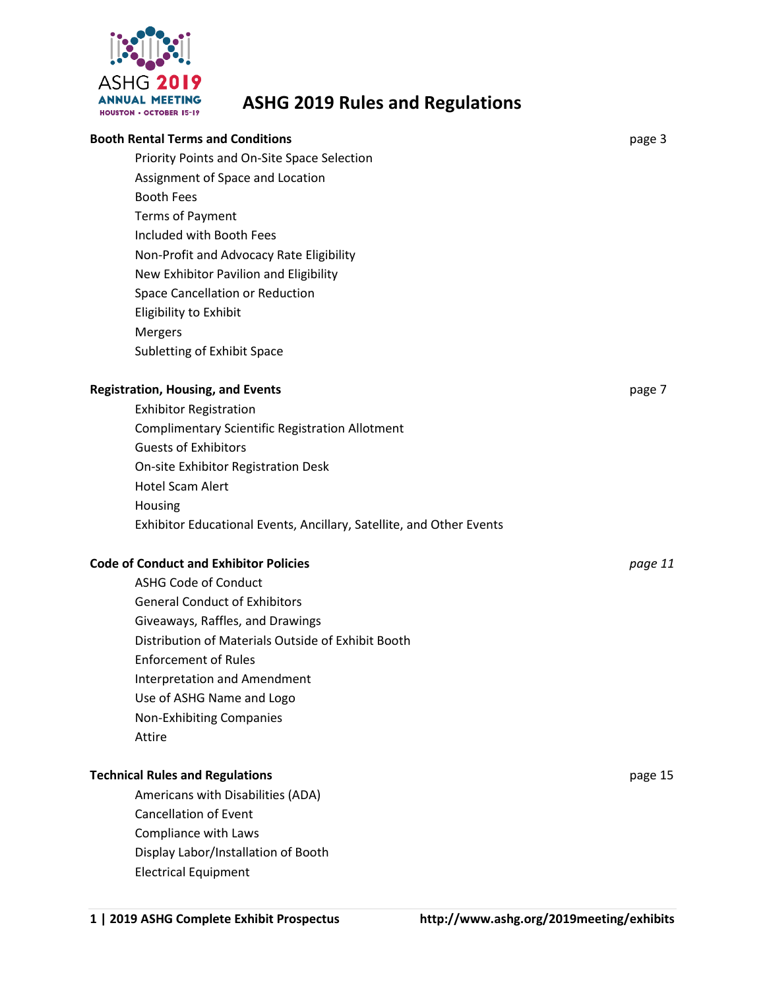

# **ASHG 2019 Rules and Regulations**

| <b>Booth Rental Terms and Conditions</b>                             | page 3  |
|----------------------------------------------------------------------|---------|
| Priority Points and On-Site Space Selection                          |         |
| Assignment of Space and Location                                     |         |
| <b>Booth Fees</b>                                                    |         |
| <b>Terms of Payment</b>                                              |         |
| Included with Booth Fees                                             |         |
| Non-Profit and Advocacy Rate Eligibility                             |         |
| New Exhibitor Pavilion and Eligibility                               |         |
| Space Cancellation or Reduction                                      |         |
| Eligibility to Exhibit                                               |         |
| Mergers                                                              |         |
| Subletting of Exhibit Space                                          |         |
| <b>Registration, Housing, and Events</b>                             | page 7  |
| <b>Exhibitor Registration</b>                                        |         |
| <b>Complimentary Scientific Registration Allotment</b>               |         |
| <b>Guests of Exhibitors</b>                                          |         |
| On-site Exhibitor Registration Desk                                  |         |
| <b>Hotel Scam Alert</b>                                              |         |
| Housing                                                              |         |
| Exhibitor Educational Events, Ancillary, Satellite, and Other Events |         |
|                                                                      |         |
| <b>Code of Conduct and Exhibitor Policies</b>                        | page 11 |
| <b>ASHG Code of Conduct</b>                                          |         |
| <b>General Conduct of Exhibitors</b>                                 |         |
| Giveaways, Raffles, and Drawings                                     |         |
| Distribution of Materials Outside of Exhibit Booth                   |         |
| <b>Enforcement of Rules</b>                                          |         |
| <b>Interpretation and Amendment</b>                                  |         |
| Use of ASHG Name and Logo                                            |         |
| Non-Exhibiting Companies                                             |         |
| Attire                                                               |         |
| <b>Technical Rules and Regulations</b>                               | page 15 |
| Americans with Disabilities (ADA)                                    |         |
| <b>Cancellation of Event</b>                                         |         |
| Compliance with Laws                                                 |         |
| Display Labor/Installation of Booth                                  |         |
| <b>Electrical Equipment</b>                                          |         |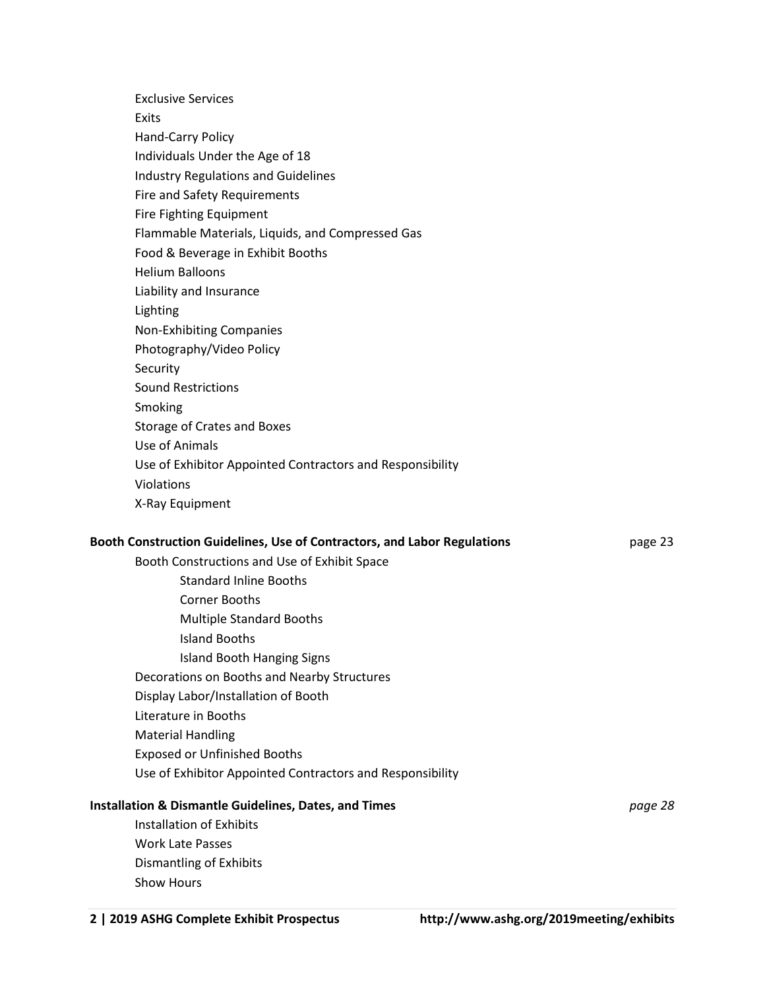| <b>Exclusive Services</b>                                                |         |
|--------------------------------------------------------------------------|---------|
| Exits                                                                    |         |
| Hand-Carry Policy                                                        |         |
| Individuals Under the Age of 18                                          |         |
| <b>Industry Regulations and Guidelines</b>                               |         |
| <b>Fire and Safety Requirements</b>                                      |         |
| Fire Fighting Equipment                                                  |         |
| Flammable Materials, Liquids, and Compressed Gas                         |         |
| Food & Beverage in Exhibit Booths                                        |         |
| <b>Helium Balloons</b>                                                   |         |
| Liability and Insurance                                                  |         |
| Lighting                                                                 |         |
| Non-Exhibiting Companies                                                 |         |
| Photography/Video Policy                                                 |         |
| Security                                                                 |         |
| <b>Sound Restrictions</b>                                                |         |
| Smoking                                                                  |         |
| Storage of Crates and Boxes                                              |         |
| Use of Animals                                                           |         |
| Use of Exhibitor Appointed Contractors and Responsibility                |         |
| Violations                                                               |         |
| X-Ray Equipment                                                          |         |
| Booth Construction Guidelines, Use of Contractors, and Labor Regulations | page 23 |
| Booth Constructions and Use of Exhibit Space                             |         |
| <b>Standard Inline Booths</b>                                            |         |
| <b>Corner Booths</b>                                                     |         |
| <b>Multiple Standard Booths</b>                                          |         |
| <b>Island Booths</b>                                                     |         |
| <b>Island Booth Hanging Signs</b>                                        |         |
| Decorations on Booths and Nearby Structures                              |         |
| Display Labor/Installation of Booth                                      |         |
| Literature in Booths                                                     |         |
| <b>Material Handling</b>                                                 |         |
| <b>Exposed or Unfinished Booths</b>                                      |         |
| Use of Exhibitor Appointed Contractors and Responsibility                |         |
| <b>Installation &amp; Dismantle Guidelines, Dates, and Times</b>         | page 28 |
| <b>Installation of Exhibits</b>                                          |         |
| <b>Work Late Passes</b>                                                  |         |
| <b>Dismantling of Exhibits</b>                                           |         |
| Show Hours                                                               |         |
|                                                                          |         |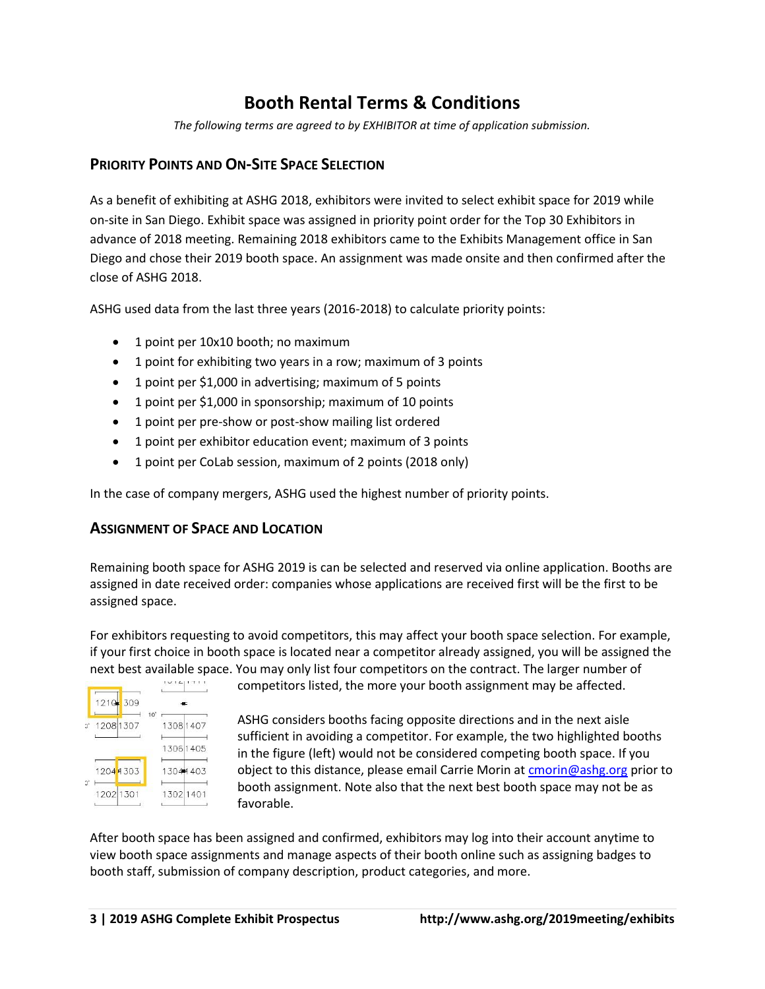# **Booth Rental Terms & Conditions**

*The following terms are agreed to by EXHIBITOR at time of application submission.* 

## **PRIORITY POINTS AND ON-SITE SPACE SELECTION**

As a benefit of exhibiting at ASHG 2018, exhibitors were invited to select exhibit space for 2019 while on-site in San Diego. Exhibit space was assigned in priority point order for the Top 30 Exhibitors in advance of 2018 meeting. Remaining 2018 exhibitors came to the Exhibits Management office in San Diego and chose their 2019 booth space. An assignment was made onsite and then confirmed after the close of ASHG 2018.

ASHG used data from the last three years (2016-2018) to calculate priority points:

- 1 point per 10x10 booth; no maximum
- 1 point for exhibiting two years in a row; maximum of 3 points
- 1 point per \$1,000 in advertising; maximum of 5 points
- 1 point per \$1,000 in sponsorship; maximum of 10 points
- 1 point per pre-show or post-show mailing list ordered
- 1 point per exhibitor education event; maximum of 3 points
- 1 point per CoLab session, maximum of 2 points (2018 only)

In the case of company mergers, ASHG used the highest number of priority points.

### **ASSIGNMENT OF SPACE AND LOCATION**

Remaining booth space for ASHG 2019 is can be selected and reserved via online application. Booths are assigned in date received order: companies whose applications are received first will be the first to be assigned space.

For exhibitors requesting to avoid competitors, this may affect your booth space selection. For example, if your first choice in booth space is located near a competitor already assigned, you will be assigned the next best available space. You may only list four competitors on the contract. The larger number of new the space of<br>competitors listed. the more vour booth assignment may be affected.



competitors listed, the more your booth assignment may be affected.

ASHG considers booths facing opposite directions and in the next aisle sufficient in avoiding a competitor. For example, the two highlighted booths in the figure (left) would not be considered competing booth space. If you object to this distance, please email Carrie Morin at [cmorin@ashg.org](mailto:cmorin@ashg.org) prior to booth assignment. Note also that the next best booth space may not be as favorable.

After booth space has been assigned and confirmed, exhibitors may log into their account anytime to view booth space assignments and manage aspects of their booth online such as assigning badges to booth staff, submission of company description, product categories, and more.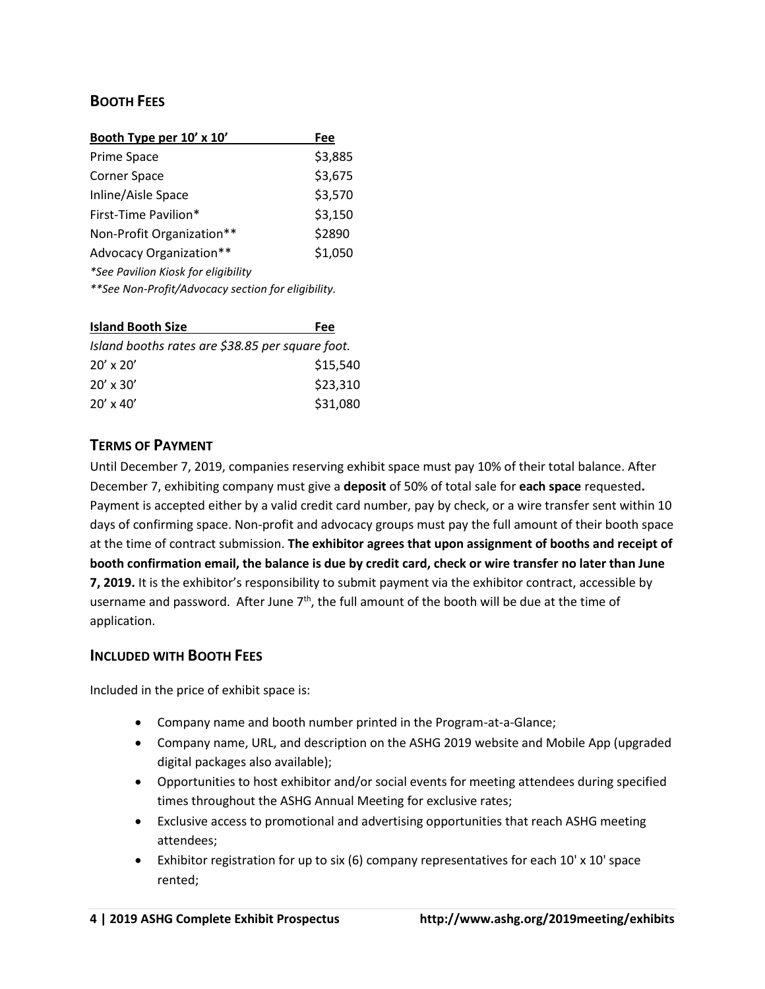# **BOOTH FEES**

| Booth Type per 10' x 10'                           | Fee     |
|----------------------------------------------------|---------|
| Prime Space                                        | \$3,885 |
| Corner Space                                       | \$3,675 |
| Inline/Aisle Space                                 | \$3,570 |
| First-Time Pavilion*                               | \$3,150 |
| Non-Profit Organization**                          | \$2890  |
| Advocacy Organization**                            | \$1,050 |
| *See Pavilion Kiosk for eligibility                |         |
| **See Non-Profit/Advocacy section for eligibility. |         |

| <b>Island Booth Size</b>                         | Fee      |
|--------------------------------------------------|----------|
| Island booths rates are \$38.85 per square foot. |          |
| $20'$ x $20'$                                    | \$15,540 |
| $20' \times 30'$                                 | \$23,310 |
| $20' \times 40'$                                 | \$31,080 |

# **TERMS OF PAYMENT**

Until December 7, 2019, companies reserving exhibit space must pay 10% of their total balance. After December 7, exhibiting company must give a **deposit** of 50% of total sale for **each space** requested**.**  Payment is accepted either by a valid credit card number, pay by check, or a wire transfer sent within 10 days of confirming space. Non-profit and advocacy groups must pay the full amount of their booth space at the time of contract submission. **The exhibitor agrees that upon assignment of booths and receipt of booth confirmation email, the balance is due by credit card, check or wire transfer no later than June 7, 2019.** It is the exhibitor's responsibility to submit payment via the exhibitor contract, accessible by username and password. After June  $7<sup>th</sup>$ , the full amount of the booth will be due at the time of application.

### **INCLUDED WITH BOOTH FEES**

Included in the price of exhibit space is:

- Company name and booth number printed in the Program-at-a-Glance;
- Company name, URL, and description on the ASHG 2019 website and Mobile App (upgraded digital packages also available);
- Opportunities to host exhibitor and/or social events for meeting attendees during specified times throughout the ASHG Annual Meeting for exclusive rates;
- Exclusive access to promotional and advertising opportunities that reach ASHG meeting attendees;
- Exhibitor registration for up to six (6) company representatives for each 10' x 10' space rented;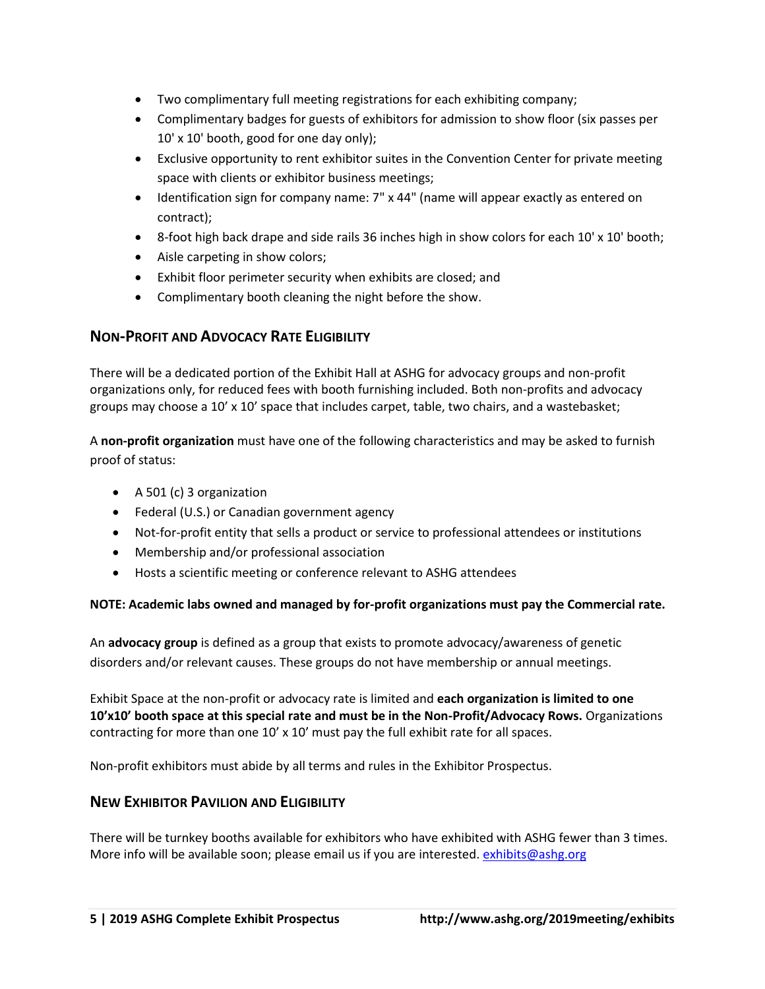- Two complimentary full meeting registrations for each exhibiting company;
- Complimentary badges for guests of exhibitors for admission to show floor (six passes per 10' x 10' booth, good for one day only);
- Exclusive opportunity to rent exhibitor suites in the Convention Center for private meeting space with clients or exhibitor business meetings;
- Identification sign for company name: 7" x 44" (name will appear exactly as entered on contract);
- 8-foot high back drape and side rails 36 inches high in show colors for each 10' x 10' booth;
- Aisle carpeting in show colors;
- Exhibit floor perimeter security when exhibits are closed; and
- Complimentary booth cleaning the night before the show.

# **NON-PROFIT AND ADVOCACY RATE ELIGIBILITY**

There will be a dedicated portion of the Exhibit Hall at ASHG for advocacy groups and non-profit organizations only, for reduced fees with booth furnishing included. Both non-profits and advocacy groups may choose a 10' x 10' space that includes carpet, table, two chairs, and a wastebasket;

A **non-profit organization** must have one of the following characteristics and may be asked to furnish proof of status:

- A 501 (c) 3 organization
- Federal (U.S.) or Canadian government agency
- Not-for-profit entity that sells a product or service to professional attendees or institutions
- Membership and/or professional association
- Hosts a scientific meeting or conference relevant to ASHG attendees

### **NOTE: Academic labs owned and managed by for-profit organizations must pay the Commercial rate.**

An **advocacy group** is defined as a group that exists to promote advocacy/awareness of genetic disorders and/or relevant causes. These groups do not have membership or annual meetings.

Exhibit Space at the non-profit or advocacy rate is limited and **each organization is limited to one 10'x10' booth space at this special rate and must be in the Non-Profit/Advocacy Rows.** Organizations contracting for more than one  $10' \times 10'$  must pay the full exhibit rate for all spaces.

Non-profit exhibitors must abide by all terms and rules in the Exhibitor Prospectus.

# **NEW EXHIBITOR PAVILION AND ELIGIBILITY**

There will be turnkey booths available for exhibitors who have exhibited with ASHG fewer than 3 times. More info will be available soon; please email us if you are interested[. exhibits@ashg.org](mailto:exhibits@ashg.org)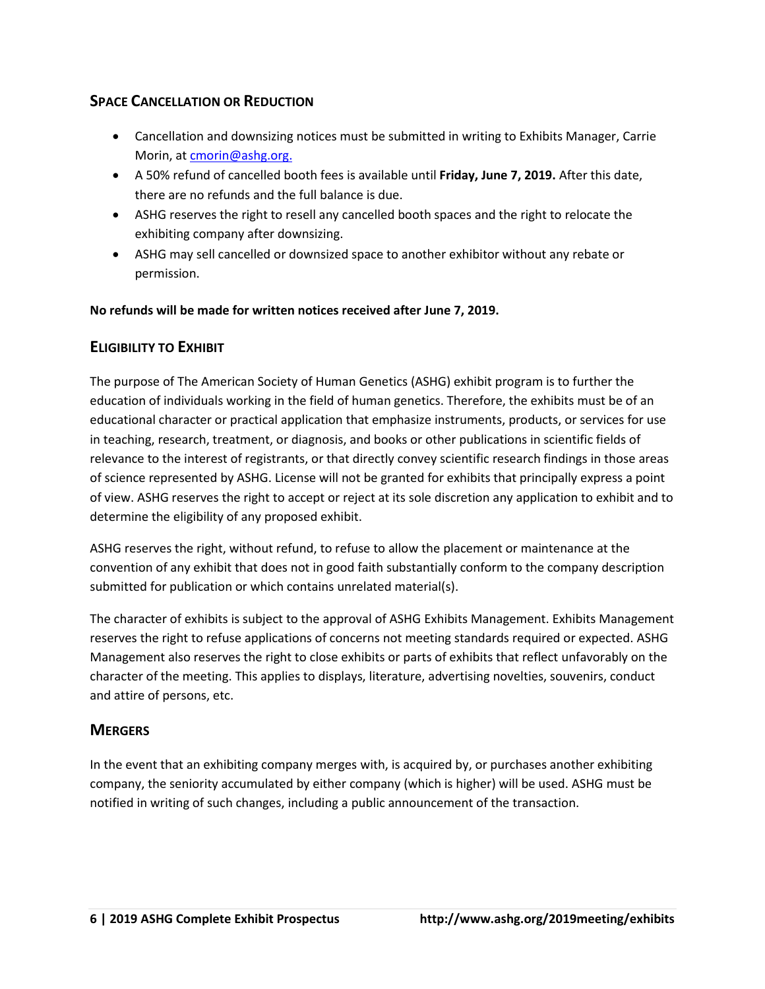# **SPACE CANCELLATION OR REDUCTION**

- Cancellation and downsizing notices must be submitted in writing to Exhibits Manager, Carrie Morin, at [cmorin@ashg.org.](mailto:cmorin@ashg.org)
- A 50% refund of cancelled booth fees is available until **Friday, June 7, 2019.** After this date, there are no refunds and the full balance is due.
- ASHG reserves the right to resell any cancelled booth spaces and the right to relocate the exhibiting company after downsizing.
- ASHG may sell cancelled or downsized space to another exhibitor without any rebate or permission.

**No refunds will be made for written notices received after June 7, 2019.**

# **ELIGIBILITY TO EXHIBIT**

The purpose of The American Society of Human Genetics (ASHG) exhibit program is to further the education of individuals working in the field of human genetics. Therefore, the exhibits must be of an educational character or practical application that emphasize instruments, products, or services for use in teaching, research, treatment, or diagnosis, and books or other publications in scientific fields of relevance to the interest of registrants, or that directly convey scientific research findings in those areas of science represented by ASHG. License will not be granted for exhibits that principally express a point of view. ASHG reserves the right to accept or reject at its sole discretion any application to exhibit and to determine the eligibility of any proposed exhibit.

ASHG reserves the right, without refund, to refuse to allow the placement or maintenance at the convention of any exhibit that does not in good faith substantially conform to the company description submitted for publication or which contains unrelated material(s).

The character of exhibits is subject to the approval of ASHG Exhibits Management. Exhibits Management reserves the right to refuse applications of concerns not meeting standards required or expected. ASHG Management also reserves the right to close exhibits or parts of exhibits that reflect unfavorably on the character of the meeting. This applies to displays, literature, advertising novelties, souvenirs, conduct and attire of persons, etc.

# **MERGERS**

In the event that an exhibiting company merges with, is acquired by, or purchases another exhibiting company, the seniority accumulated by either company (which is higher) will be used. ASHG must be notified in writing of such changes, including a public announcement of the transaction.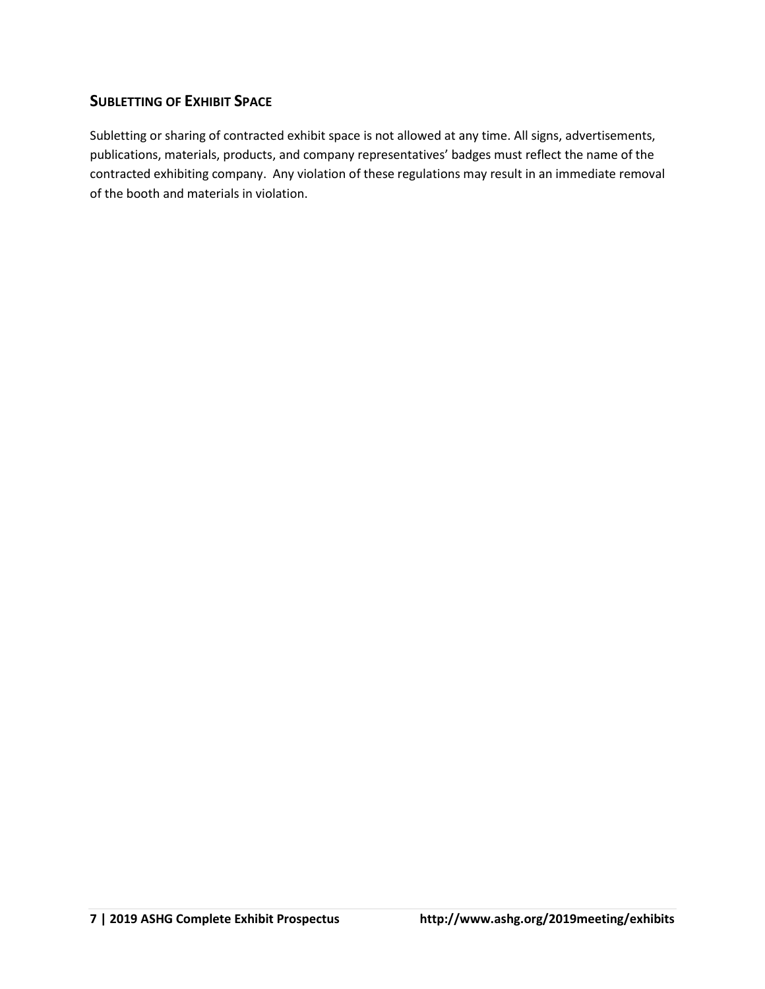# **SUBLETTING OF EXHIBIT SPACE**

Subletting or sharing of contracted exhibit space is not allowed at any time. All signs, advertisements, publications, materials, products, and company representatives' badges must reflect the name of the contracted exhibiting company. Any violation of these regulations may result in an immediate removal of the booth and materials in violation.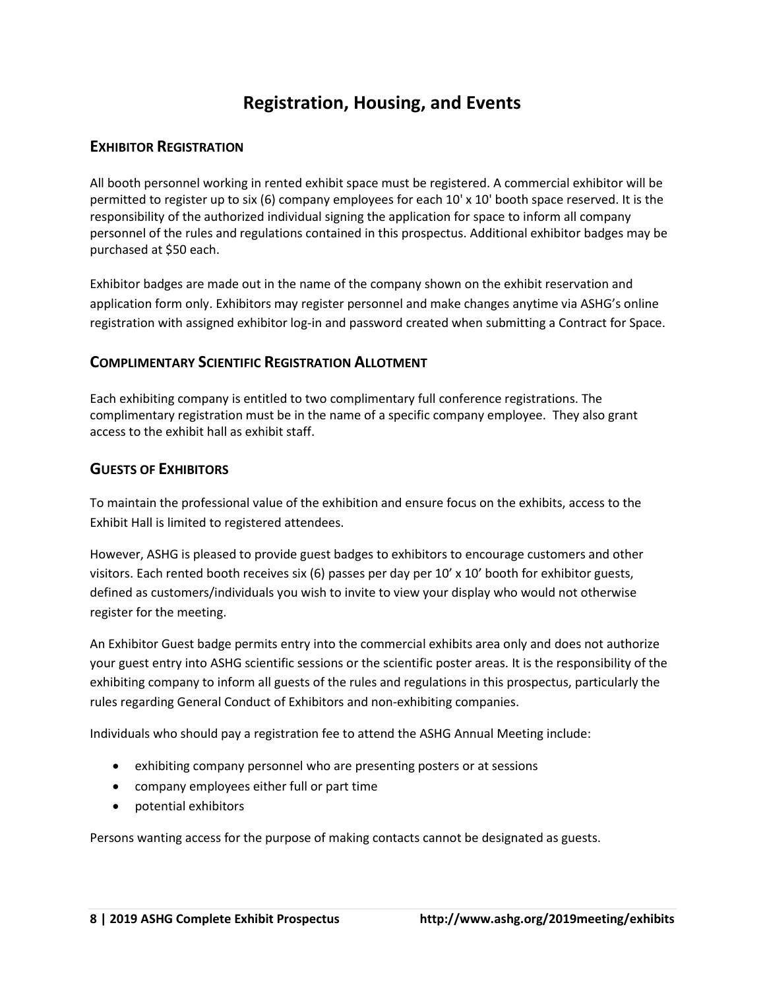# **Registration, Housing, and Events**

# **EXHIBITOR REGISTRATION**

All booth personnel working in rented exhibit space must be registered. A commercial exhibitor will be permitted to register up to six (6) company employees for each 10' x 10' booth space reserved. It is the responsibility of the authorized individual signing the application for space to inform all company personnel of the rules and regulations contained in this prospectus. Additional exhibitor badges may be purchased at \$50 each.

Exhibitor badges are made out in the name of the company shown on the exhibit reservation and application form only. Exhibitors may register personnel and make changes anytime via ASHG's online registration with assigned exhibitor log-in and password created when submitting a Contract for Space.

# **COMPLIMENTARY SCIENTIFIC REGISTRATION ALLOTMENT**

Each exhibiting company is entitled to two complimentary full conference registrations. The complimentary registration must be in the name of a specific company employee. They also grant access to the exhibit hall as exhibit staff.

# **GUESTS OF EXHIBITORS**

To maintain the professional value of the exhibition and ensure focus on the exhibits, access to the Exhibit Hall is limited to registered attendees.

However, ASHG is pleased to provide guest badges to exhibitors to encourage customers and other visitors. Each rented booth receives six (6) passes per day per 10' x 10' booth for exhibitor guests, defined as customers/individuals you wish to invite to view your display who would not otherwise register for the meeting.

An Exhibitor Guest badge permits entry into the commercial exhibits area only and does not authorize your guest entry into ASHG scientific sessions or the scientific poster areas. It is the responsibility of the exhibiting company to inform all guests of the rules and regulations in this prospectus, particularly the rules regarding General Conduct of Exhibitors and non-exhibiting companies.

Individuals who should pay a registration fee to attend the ASHG Annual Meeting include:

- exhibiting company personnel who are presenting posters or at sessions
- company employees either full or part time
- potential exhibitors

Persons wanting access for the purpose of making contacts cannot be designated as guests.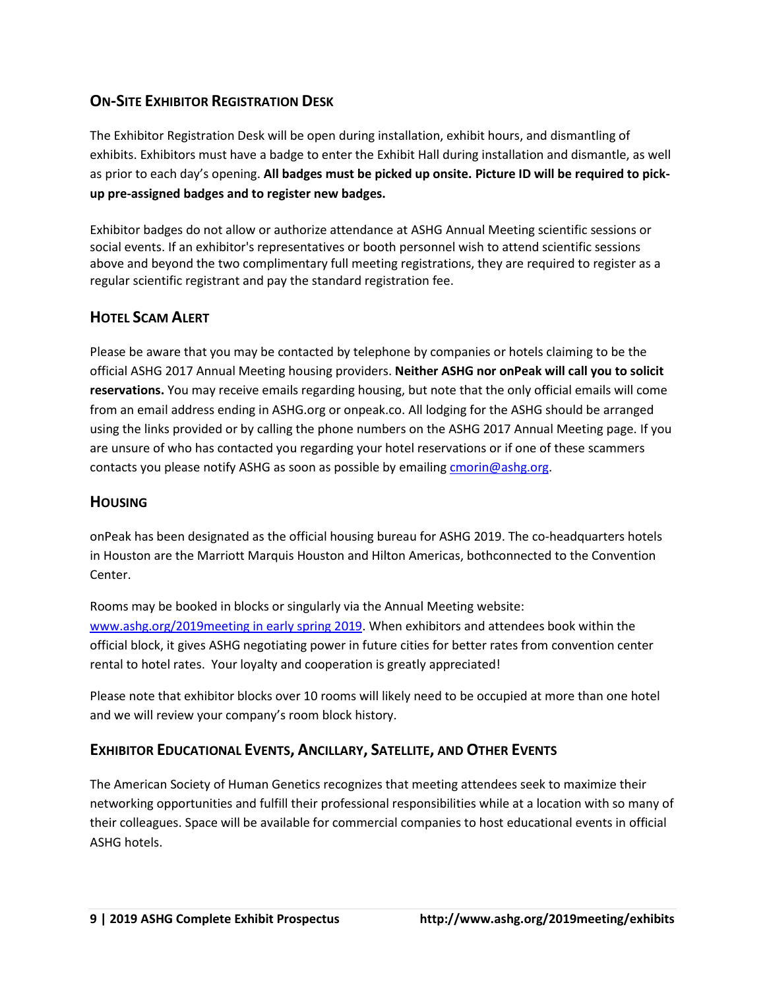# **ON-SITE EXHIBITOR REGISTRATION DESK**

The Exhibitor Registration Desk will be open during installation, exhibit hours, and dismantling of exhibits. Exhibitors must have a badge to enter the Exhibit Hall during installation and dismantle, as well as prior to each day's opening. **All badges must be picked up onsite. Picture ID will be required to pickup pre-assigned badges and to register new badges.** 

Exhibitor badges do not allow or authorize attendance at ASHG Annual Meeting scientific sessions or social events. If an exhibitor's representatives or booth personnel wish to attend scientific sessions above and beyond the two complimentary full meeting registrations, they are required to register as a regular scientific registrant and pay the standard registration fee.

# **HOTEL SCAM ALERT**

Please be aware that you may be contacted by telephone by companies or hotels claiming to be the official ASHG 2017 Annual Meeting housing providers. **Neither ASHG nor onPeak will call you to solicit reservations.** You may receive emails regarding housing, but note that the only official emails will come from an email address ending in ASHG.org or onpeak.co. All lodging for the ASHG should be arranged using the links provided or by calling the phone numbers on the ASHG 2017 Annual Meeting page. If you are unsure of who has contacted you regarding your hotel reservations or if one of these scammers contacts you please notify ASHG as soon as possible by emailing  $\frac{\text{c} \text{m} \text{or} \text{m}}{\text{c} \text{m} \text{m}}$ 

## **HOUSING**

onPeak has been designated as the official housing bureau for ASHG 2019. The co-headquarters hotels in Houston are the Marriott Marquis Houston and Hilton Americas, bothconnected to the Convention Center.

Rooms may be booked in blocks or singularly via the Annual Meeting website: [www.ashg.org/2019meeting in early spring 2019.](http://www.ashg.org/2019meeting%20in%20early%20spring%202019) When exhibitors and attendees book within the official block, it gives ASHG negotiating power in future cities for better rates from convention center rental to hotel rates. Your loyalty and cooperation is greatly appreciated!

Please note that exhibitor blocks over 10 rooms will likely need to be occupied at more than one hotel and we will review your company's room block history.

# **EXHIBITOR EDUCATIONAL EVENTS, ANCILLARY, SATELLITE, AND OTHER EVENTS**

The American Society of Human Genetics recognizes that meeting attendees seek to maximize their networking opportunities and fulfill their professional responsibilities while at a location with so many of their colleagues. Space will be available for commercial companies to host educational events in official ASHG hotels.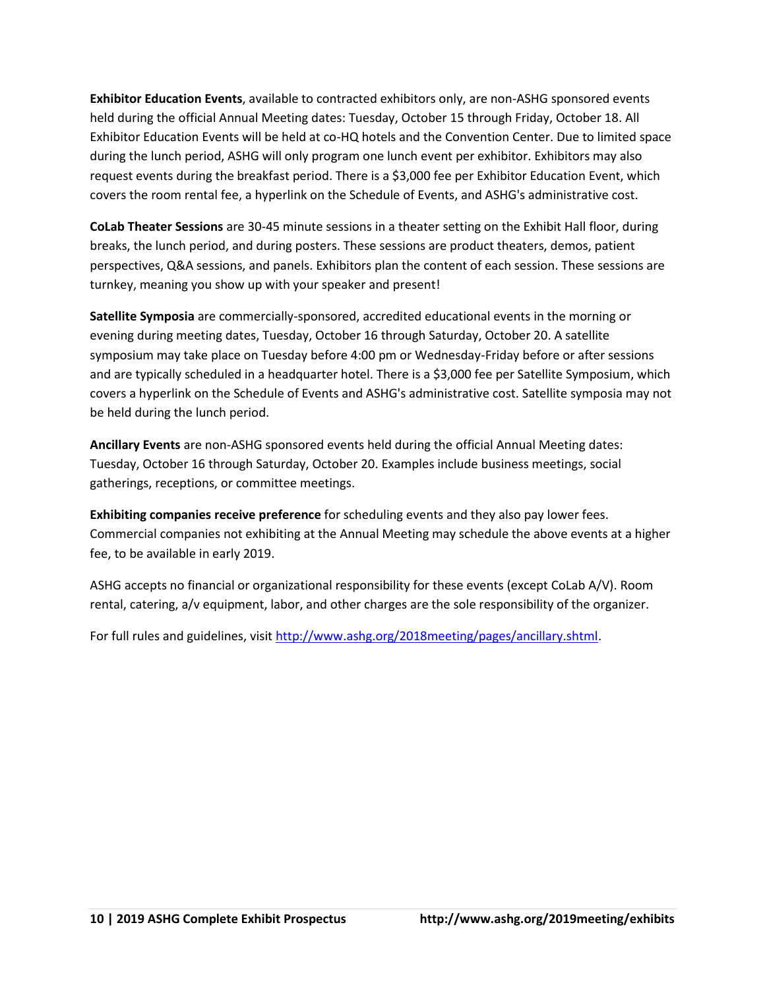**Exhibitor Education Events**, available to contracted exhibitors only, are non-ASHG sponsored events held during the official Annual Meeting dates: Tuesday, October 15 through Friday, October 18. All Exhibitor Education Events will be held at co-HQ hotels and the Convention Center. Due to limited space during the lunch period, ASHG will only program one lunch event per exhibitor. Exhibitors may also request events during the breakfast period. There is a \$3,000 fee per Exhibitor Education Event, which covers the room rental fee, a hyperlink on the Schedule of Events, and ASHG's administrative cost.

**CoLab Theater Sessions** are 30-45 minute sessions in a theater setting on the Exhibit Hall floor, during breaks, the lunch period, and during posters. These sessions are product theaters, demos, patient perspectives, Q&A sessions, and panels. Exhibitors plan the content of each session. These sessions are turnkey, meaning you show up with your speaker and present!

**Satellite Symposia** are commercially-sponsored, accredited educational events in the morning or evening during meeting dates, Tuesday, October 16 through Saturday, October 20. A satellite symposium may take place on Tuesday before 4:00 pm or Wednesday-Friday before or after sessions and are typically scheduled in a headquarter hotel. There is a \$3,000 fee per Satellite Symposium, which covers a hyperlink on the Schedule of Events and ASHG's administrative cost. Satellite symposia may not be held during the lunch period.

**Ancillary Events** are non-ASHG sponsored events held during the official Annual Meeting dates: Tuesday, October 16 through Saturday, October 20. Examples include business meetings, social gatherings, receptions, or committee meetings.

**Exhibiting companies receive preference** for scheduling events and they also pay lower fees. Commercial companies not exhibiting at the Annual Meeting may schedule the above events at a higher fee, to be available in early 2019.

ASHG accepts no financial or organizational responsibility for these events (except CoLab A/V). Room rental, catering, a/v equipment, labor, and other charges are the sole responsibility of the organizer.

For full rules and guidelines, visi[t http://www.ashg.org/2018meeting/pages/ancillary.shtml.](http://www.ashg.org/2018meeting/pages/ancillary.shtml)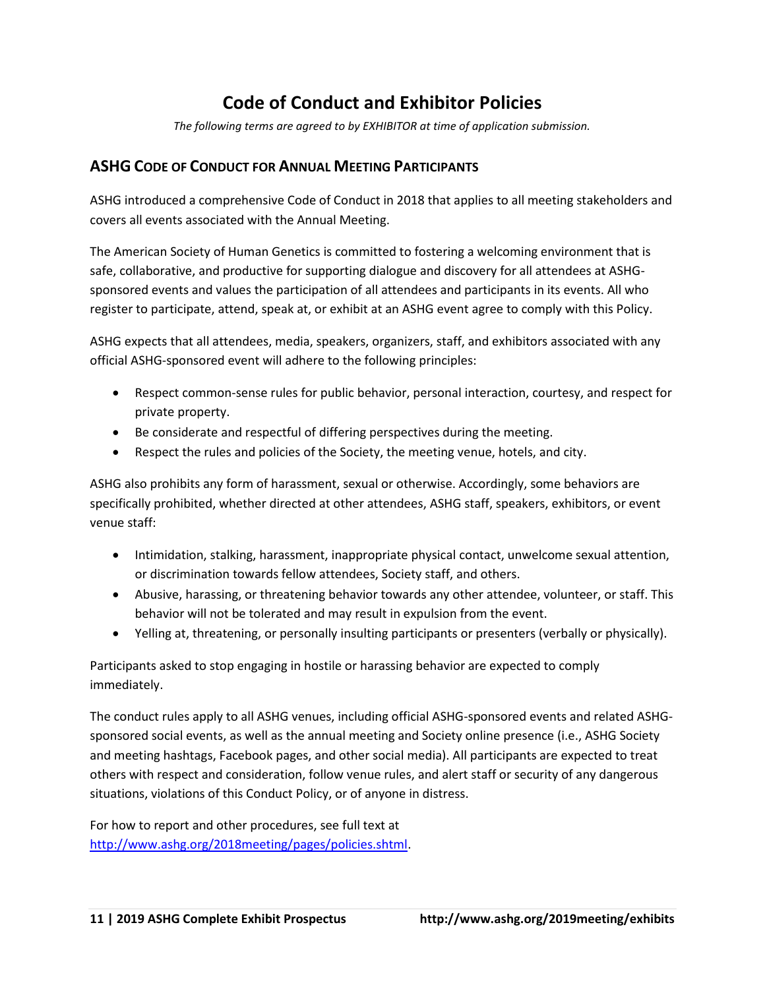# **Code of Conduct and Exhibitor Policies**

*The following terms are agreed to by EXHIBITOR at time of application submission.* 

# **ASHG CODE OF CONDUCT FOR ANNUAL MEETING PARTICIPANTS**

ASHG introduced a comprehensive Code of Conduct in 2018 that applies to all meeting stakeholders and covers all events associated with the Annual Meeting.

The American Society of Human Genetics is committed to fostering a welcoming environment that is safe, collaborative, and productive for supporting dialogue and discovery for all attendees at ASHGsponsored events and values the participation of all attendees and participants in its events. All who register to participate, attend, speak at, or exhibit at an ASHG event agree to comply with this Policy.

ASHG expects that all attendees, media, speakers, organizers, staff, and exhibitors associated with any official ASHG-sponsored event will adhere to the following principles:

- Respect common-sense rules for public behavior, personal interaction, courtesy, and respect for private property.
- Be considerate and respectful of differing perspectives during the meeting.
- Respect the rules and policies of the Society, the meeting venue, hotels, and city.

ASHG also prohibits any form of harassment, sexual or otherwise. Accordingly, some behaviors are specifically prohibited, whether directed at other attendees, ASHG staff, speakers, exhibitors, or event venue staff:

- Intimidation, stalking, harassment, inappropriate physical contact, unwelcome sexual attention, or discrimination towards fellow attendees, Society staff, and others.
- Abusive, harassing, or threatening behavior towards any other attendee, volunteer, or staff. This behavior will not be tolerated and may result in expulsion from the event.
- Yelling at, threatening, or personally insulting participants or presenters (verbally or physically).

Participants asked to stop engaging in hostile or harassing behavior are expected to comply immediately.

The conduct rules apply to all ASHG venues, including official ASHG-sponsored events and related ASHGsponsored social events, as well as the annual meeting and Society online presence (i.e., ASHG Society and meeting hashtags, Facebook pages, and other social media). All participants are expected to treat others with respect and consideration, follow venue rules, and alert staff or security of any dangerous situations, violations of this Conduct Policy, or of anyone in distress.

For how to report and other procedures, see full text at [http://www.ashg.org/2018meeting/pages/policies.shtml.](http://www.ashg.org/2018meeting/pages/policies.shtml)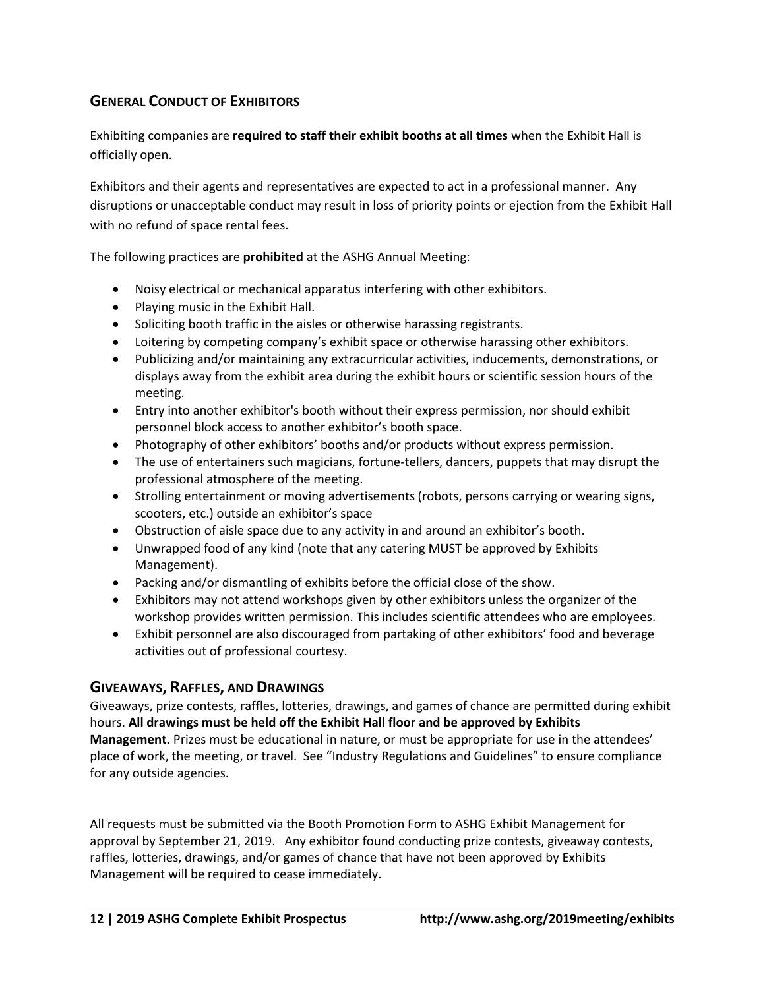# **GENERAL CONDUCT OF EXHIBITORS**

Exhibiting companies are **required to staff their exhibit booths at all times** when the Exhibit Hall is officially open.

Exhibitors and their agents and representatives are expected to act in a professional manner. Any disruptions or unacceptable conduct may result in loss of priority points or ejection from the Exhibit Hall with no refund of space rental fees.

The following practices are **prohibited** at the ASHG Annual Meeting:

- Noisy electrical or mechanical apparatus interfering with other exhibitors.
- Playing music in the Exhibit Hall.
- Soliciting booth traffic in the aisles or otherwise harassing registrants.
- Loitering by competing company's exhibit space or otherwise harassing other exhibitors.
- Publicizing and/or maintaining any extracurricular activities, inducements, demonstrations, or displays away from the exhibit area during the exhibit hours or scientific session hours of the meeting.
- Entry into another exhibitor's booth without their express permission, nor should exhibit personnel block access to another exhibitor's booth space.
- Photography of other exhibitors' booths and/or products without express permission.
- The use of entertainers such magicians, fortune-tellers, dancers, puppets that may disrupt the professional atmosphere of the meeting.
- Strolling entertainment or moving advertisements (robots, persons carrying or wearing signs, scooters, etc.) outside an exhibitor's space
- Obstruction of aisle space due to any activity in and around an exhibitor's booth.
- Unwrapped food of any kind (note that any catering MUST be approved by Exhibits Management).
- Packing and/or dismantling of exhibits before the official close of the show.
- Exhibitors may not attend workshops given by other exhibitors unless the organizer of the workshop provides written permission. This includes scientific attendees who are employees.
- Exhibit personnel are also discouraged from partaking of other exhibitors' food and beverage activities out of professional courtesy.

### **GIVEAWAYS, RAFFLES, AND DRAWINGS**

Giveaways, prize contests, raffles, lotteries, drawings, and games of chance are permitted during exhibit hours. **All drawings must be held off the Exhibit Hall floor and be approved by Exhibits Management.** Prizes must be educational in nature, or must be appropriate for use in the attendees' place of work, the meeting, or travel. See "Industry Regulations and Guidelines" to ensure compliance for any outside agencies.

All requests must be submitted via the Booth Promotion Form to ASHG Exhibit Management for approval by September 21, 2019. Any exhibitor found conducting prize contests, giveaway contests, raffles, lotteries, drawings, and/or games of chance that have not been approved by Exhibits Management will be required to cease immediately.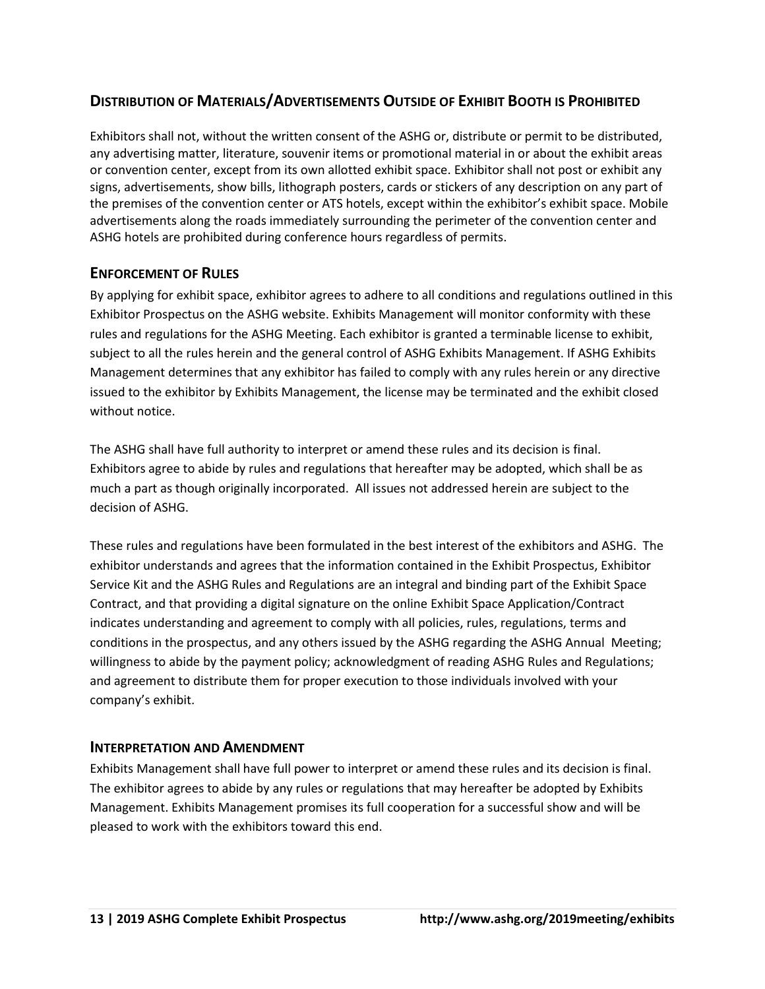# **DISTRIBUTION OF MATERIALS/ADVERTISEMENTS OUTSIDE OF EXHIBIT BOOTH IS PROHIBITED**

Exhibitors shall not, without the written consent of the ASHG or, distribute or permit to be distributed, any advertising matter, literature, souvenir items or promotional material in or about the exhibit areas or convention center, except from its own allotted exhibit space. Exhibitor shall not post or exhibit any signs, advertisements, show bills, lithograph posters, cards or stickers of any description on any part of the premises of the convention center or ATS hotels, except within the exhibitor's exhibit space. Mobile advertisements along the roads immediately surrounding the perimeter of the convention center and ASHG hotels are prohibited during conference hours regardless of permits.

### **ENFORCEMENT OF RULES**

By applying for exhibit space, exhibitor agrees to adhere to all conditions and regulations outlined in this Exhibitor Prospectus on the ASHG website. Exhibits Management will monitor conformity with these rules and regulations for the ASHG Meeting. Each exhibitor is granted a terminable license to exhibit, subject to all the rules herein and the general control of ASHG Exhibits Management. If ASHG Exhibits Management determines that any exhibitor has failed to comply with any rules herein or any directive issued to the exhibitor by Exhibits Management, the license may be terminated and the exhibit closed without notice.

The ASHG shall have full authority to interpret or amend these rules and its decision is final. Exhibitors agree to abide by rules and regulations that hereafter may be adopted, which shall be as much a part as though originally incorporated. All issues not addressed herein are subject to the decision of ASHG.

These rules and regulations have been formulated in the best interest of the exhibitors and ASHG. The exhibitor understands and agrees that the information contained in the Exhibit Prospectus, Exhibitor Service Kit and the ASHG Rules and Regulations are an integral and binding part of the Exhibit Space Contract, and that providing a digital signature on the online Exhibit Space Application/Contract indicates understanding and agreement to comply with all policies, rules, regulations, terms and conditions in the prospectus, and any others issued by the ASHG regarding the ASHG Annual Meeting; willingness to abide by the payment policy; acknowledgment of reading ASHG Rules and Regulations; and agreement to distribute them for proper execution to those individuals involved with your company's exhibit.

### **INTERPRETATION AND AMENDMENT**

Exhibits Management shall have full power to interpret or amend these rules and its decision is final. The exhibitor agrees to abide by any rules or regulations that may hereafter be adopted by Exhibits Management. Exhibits Management promises its full cooperation for a successful show and will be pleased to work with the exhibitors toward this end.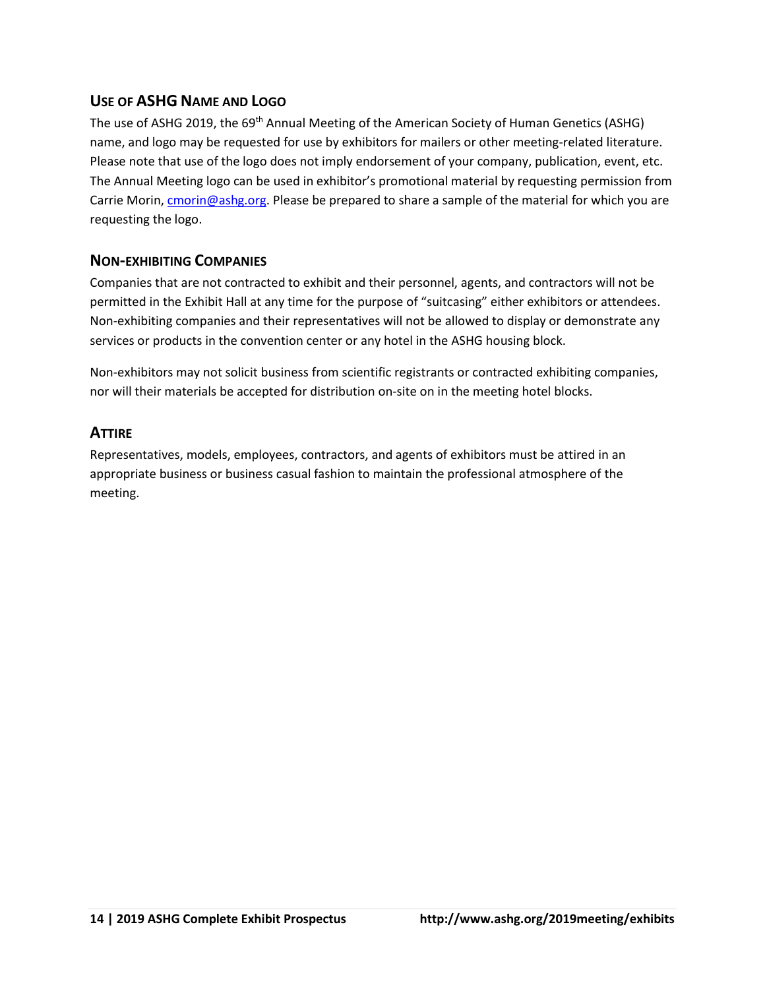# **USE OF ASHG NAME AND LOGO**

The use of ASHG 2019, the 69<sup>th</sup> Annual Meeting of the American Society of Human Genetics (ASHG) name, and logo may be requested for use by exhibitors for mailers or other meeting-related literature. Please note that use of the logo does not imply endorsement of your company, publication, event, etc. The Annual Meeting logo can be used in exhibitor's promotional material by requesting permission from Carrie Morin, [cmorin@ashg.org.](mailto:cmorin@ashg.org) Please be prepared to share a sample of the material for which you are requesting the logo.

# **NON-EXHIBITING COMPANIES**

Companies that are not contracted to exhibit and their personnel, agents, and contractors will not be permitted in the Exhibit Hall at any time for the purpose of "suitcasing" either exhibitors or attendees. Non-exhibiting companies and their representatives will not be allowed to display or demonstrate any services or products in the convention center or any hotel in the ASHG housing block.

Non-exhibitors may not solicit business from scientific registrants or contracted exhibiting companies, nor will their materials be accepted for distribution on-site on in the meeting hotel blocks.

### **ATTIRE**

Representatives, models, employees, contractors, and agents of exhibitors must be attired in an appropriate business or business casual fashion to maintain the professional atmosphere of the meeting.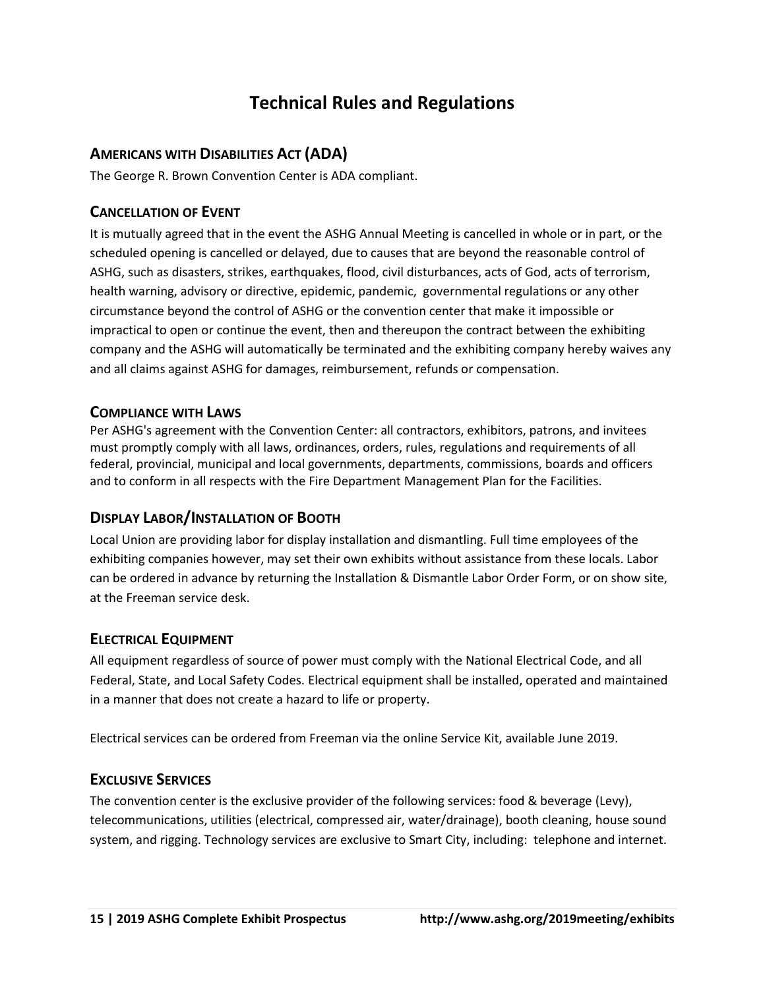# **Technical Rules and Regulations**

# **AMERICANS WITH DISABILITIES ACT (ADA)**

The George R. Brown Convention Center is ADA compliant.

# **CANCELLATION OF EVENT**

It is mutually agreed that in the event the ASHG Annual Meeting is cancelled in whole or in part, or the scheduled opening is cancelled or delayed, due to causes that are beyond the reasonable control of ASHG, such as disasters, strikes, earthquakes, flood, civil disturbances, acts of God, acts of terrorism, health warning, advisory or directive, epidemic, pandemic, governmental regulations or any other circumstance beyond the control of ASHG or the convention center that make it impossible or impractical to open or continue the event, then and thereupon the contract between the exhibiting company and the ASHG will automatically be terminated and the exhibiting company hereby waives any and all claims against ASHG for damages, reimbursement, refunds or compensation.

# **COMPLIANCE WITH LAWS**

Per ASHG's agreement with the Convention Center: all contractors, exhibitors, patrons, and invitees must promptly comply with all laws, ordinances, orders, rules, regulations and requirements of all federal, provincial, municipal and local governments, departments, commissions, boards and officers and to conform in all respects with the Fire Department Management Plan for the Facilities.

# **DISPLAY LABOR/INSTALLATION OF BOOTH**

Local Union are providing labor for display installation and dismantling. Full time employees of the exhibiting companies however, may set their own exhibits without assistance from these locals. Labor can be ordered in advance by returning the Installation & Dismantle Labor Order Form, or on show site, at the Freeman service desk.

# **ELECTRICAL EQUIPMENT**

All equipment regardless of source of power must comply with the National Electrical Code, and all Federal, State, and Local Safety Codes. Electrical equipment shall be installed, operated and maintained in a manner that does not create a hazard to life or property.

Electrical services can be ordered from Freeman via the online Service Kit, available June 2019.

# **EXCLUSIVE SERVICES**

The convention center is the exclusive provider of the following services: food & beverage (Levy), telecommunications, utilities (electrical, compressed air, water/drainage), booth cleaning, house sound system, and rigging. Technology services are exclusive to Smart City, including: telephone and internet.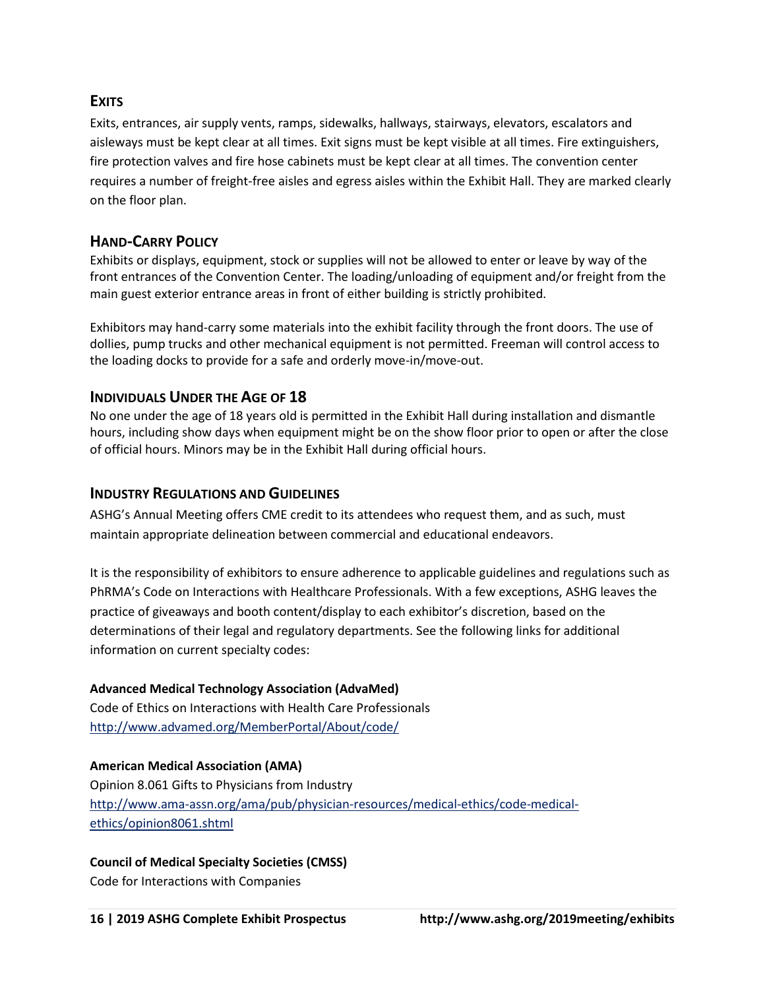# **EXITS**

Exits, entrances, air supply vents, ramps, sidewalks, hallways, stairways, elevators, escalators and aisleways must be kept clear at all times. Exit signs must be kept visible at all times. Fire extinguishers, fire protection valves and fire hose cabinets must be kept clear at all times. The convention center requires a number of freight-free aisles and egress aisles within the Exhibit Hall. They are marked clearly on the floor plan.

# **HAND-CARRY POLICY**

Exhibits or displays, equipment, stock or supplies will not be allowed to enter or leave by way of the front entrances of the Convention Center. The loading/unloading of equipment and/or freight from the main guest exterior entrance areas in front of either building is strictly prohibited.

Exhibitors may hand-carry some materials into the exhibit facility through the front doors. The use of dollies, pump trucks and other mechanical equipment is not permitted. Freeman will control access to the loading docks to provide for a safe and orderly move-in/move-out.

### **INDIVIDUALS UNDER THE AGE OF 18**

No one under the age of 18 years old is permitted in the Exhibit Hall during installation and dismantle hours, including show days when equipment might be on the show floor prior to open or after the close of official hours. Minors may be in the Exhibit Hall during official hours.

#### **INDUSTRY REGULATIONS AND GUIDELINES**

ASHG's Annual Meeting offers CME credit to its attendees who request them, and as such, must maintain appropriate delineation between commercial and educational endeavors.

It is the responsibility of exhibitors to ensure adherence to applicable guidelines and regulations such as PhRMA's Code on Interactions with Healthcare Professionals. With a few exceptions, ASHG leaves the practice of giveaways and booth content/display to each exhibitor's discretion, based on the determinations of their legal and regulatory departments. See the following links for additional information on current specialty codes:

#### **Advanced Medical Technology Association (AdvaMed)**

Code of Ethics on Interactions with Health Care Professionals <http://www.advamed.org/MemberPortal/About/code/>

#### **American Medical Association (AMA)**

Opinion 8.061 Gifts to Physicians from Industry [http://www.ama-assn.org/ama/pub/physician-resources/medical-ethics/code-medical](http://www.ama-assn.org/ama/pub/physician-resources/medical-ethics/code-medical-ethics/opinion8061.shtml)[ethics/opinion8061.shtml](http://www.ama-assn.org/ama/pub/physician-resources/medical-ethics/code-medical-ethics/opinion8061.shtml)

### **Council of Medical Specialty Societies (CMSS)**

Code for Interactions with Companies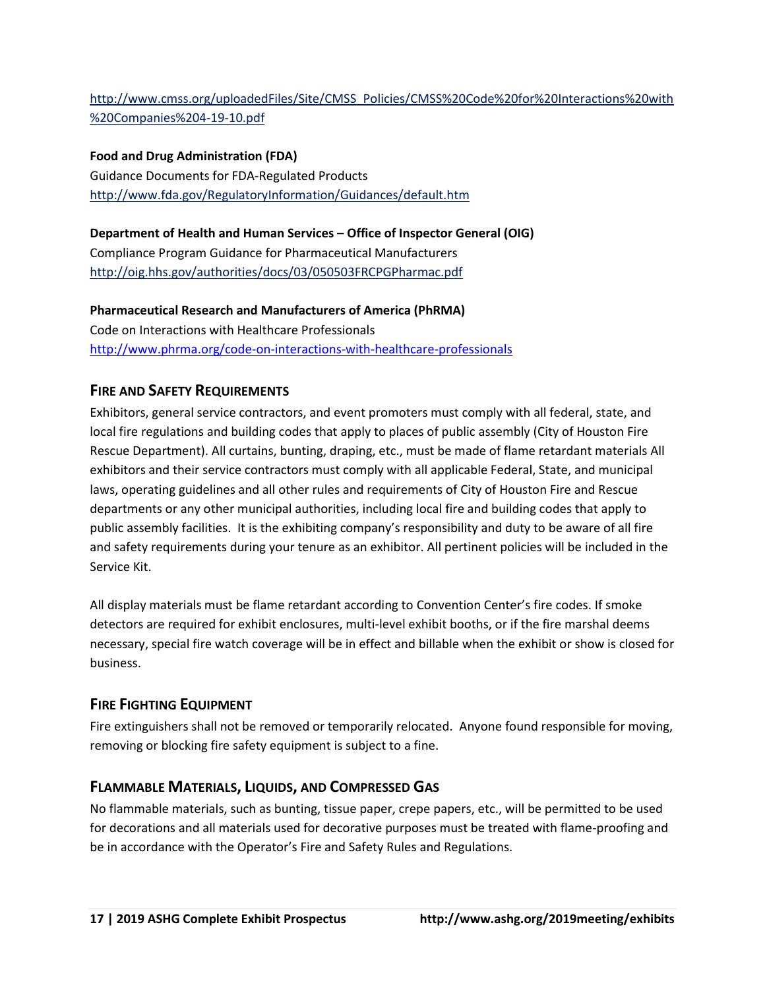# [http://www.cmss.org/uploadedFiles/Site/CMSS\\_Policies/CMSS%20Code%20for%20Interactions%20with](http://www.cmss.org/uploadedFiles/Site/CMSS_Policies/CMSS%20Code%20for%20Interactions%20with%20Companies%204-19-10.pdf) [%20Companies%204-19-10.pdf](http://www.cmss.org/uploadedFiles/Site/CMSS_Policies/CMSS%20Code%20for%20Interactions%20with%20Companies%204-19-10.pdf)

**Food and Drug Administration (FDA)** Guidance Documents for FDA-Regulated Products <http://www.fda.gov/RegulatoryInformation/Guidances/default.htm>

### **Department of Health and Human Services – Office of Inspector General (OIG)**

Compliance Program Guidance for Pharmaceutical Manufacturers <http://oig.hhs.gov/authorities/docs/03/050503FRCPGPharmac.pdf>

**Pharmaceutical Research and Manufacturers of America (PhRMA)** Code on Interactions with Healthcare Professionals <http://www.phrma.org/code-on-interactions-with-healthcare-professionals>

# **FIRE AND SAFETY REQUIREMENTS**

Exhibitors, general service contractors, and event promoters must comply with all federal, state, and local fire regulations and building codes that apply to places of public assembly (City of Houston Fire Rescue Department). All curtains, bunting, draping, etc., must be made of flame retardant materials All exhibitors and their service contractors must comply with all applicable Federal, State, and municipal laws, operating guidelines and all other rules and requirements of City of Houston Fire and Rescue departments or any other municipal authorities, including local fire and building codes that apply to public assembly facilities. It is the exhibiting company's responsibility and duty to be aware of all fire and safety requirements during your tenure as an exhibitor. All pertinent policies will be included in the Service Kit.

All display materials must be flame retardant according to Convention Center's fire codes. If smoke detectors are required for exhibit enclosures, multi-level exhibit booths, or if the fire marshal deems necessary, special fire watch coverage will be in effect and billable when the exhibit or show is closed for business.

### **FIRE FIGHTING EQUIPMENT**

Fire extinguishers shall not be removed or temporarily relocated. Anyone found responsible for moving, removing or blocking fire safety equipment is subject to a fine.

# **FLAMMABLE MATERIALS, LIQUIDS, AND COMPRESSED GAS**

No flammable materials, such as bunting, tissue paper, crepe papers, etc., will be permitted to be used for decorations and all materials used for decorative purposes must be treated with flame-proofing and be in accordance with the Operator's Fire and Safety Rules and Regulations.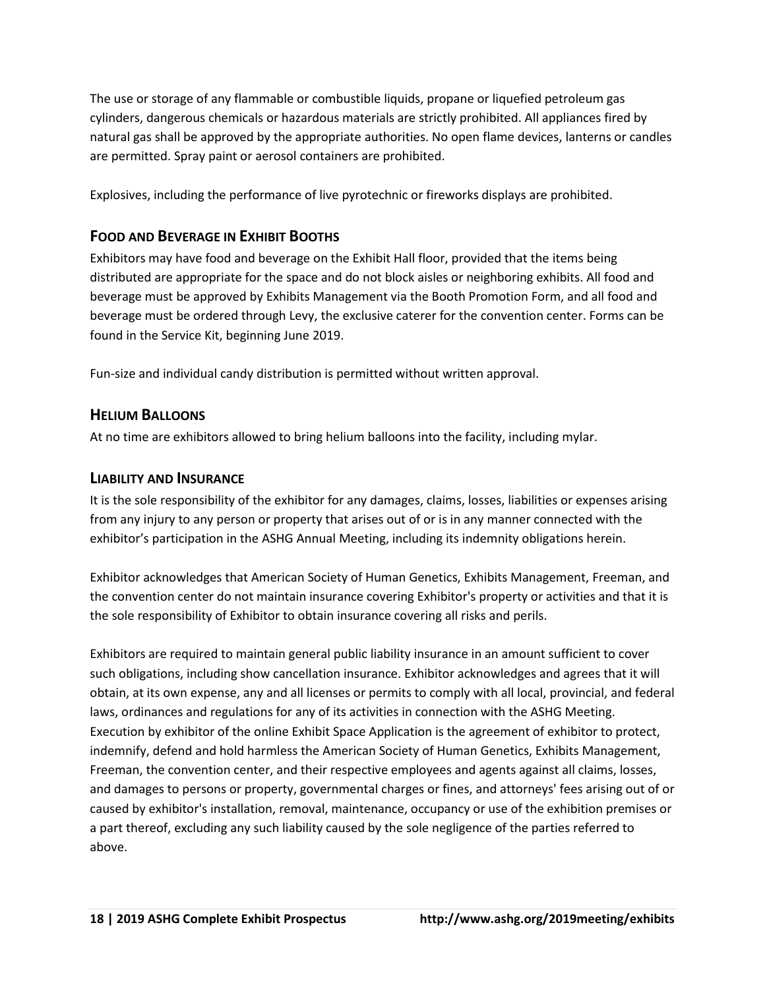The use or storage of any flammable or combustible liquids, propane or liquefied petroleum gas cylinders, dangerous chemicals or hazardous materials are strictly prohibited. All appliances fired by natural gas shall be approved by the appropriate authorities. No open flame devices, lanterns or candles are permitted. Spray paint or aerosol containers are prohibited.

Explosives, including the performance of live pyrotechnic or fireworks displays are prohibited.

# **FOOD AND BEVERAGE IN EXHIBIT BOOTHS**

Exhibitors may have food and beverage on the Exhibit Hall floor, provided that the items being distributed are appropriate for the space and do not block aisles or neighboring exhibits. All food and beverage must be approved by Exhibits Management via the Booth Promotion Form, and all food and beverage must be ordered through Levy, the exclusive caterer for the convention center. Forms can be found in the Service Kit, beginning June 2019.

Fun-size and individual candy distribution is permitted without written approval.

# **HELIUM BALLOONS**

At no time are exhibitors allowed to bring helium balloons into the facility, including mylar.

# **LIABILITY AND INSURANCE**

It is the sole responsibility of the exhibitor for any damages, claims, losses, liabilities or expenses arising from any injury to any person or property that arises out of or is in any manner connected with the exhibitor's participation in the ASHG Annual Meeting, including its indemnity obligations herein.

Exhibitor acknowledges that American Society of Human Genetics, Exhibits Management, Freeman, and the convention center do not maintain insurance covering Exhibitor's property or activities and that it is the sole responsibility of Exhibitor to obtain insurance covering all risks and perils.

Exhibitors are required to maintain general public liability insurance in an amount sufficient to cover such obligations, including show cancellation insurance. Exhibitor acknowledges and agrees that it will obtain, at its own expense, any and all licenses or permits to comply with all local, provincial, and federal laws, ordinances and regulations for any of its activities in connection with the ASHG Meeting. Execution by exhibitor of the online Exhibit Space Application is the agreement of exhibitor to protect, indemnify, defend and hold harmless the American Society of Human Genetics, Exhibits Management, Freeman, the convention center, and their respective employees and agents against all claims, losses, and damages to persons or property, governmental charges or fines, and attorneys' fees arising out of or caused by exhibitor's installation, removal, maintenance, occupancy or use of the exhibition premises or a part thereof, excluding any such liability caused by the sole negligence of the parties referred to above.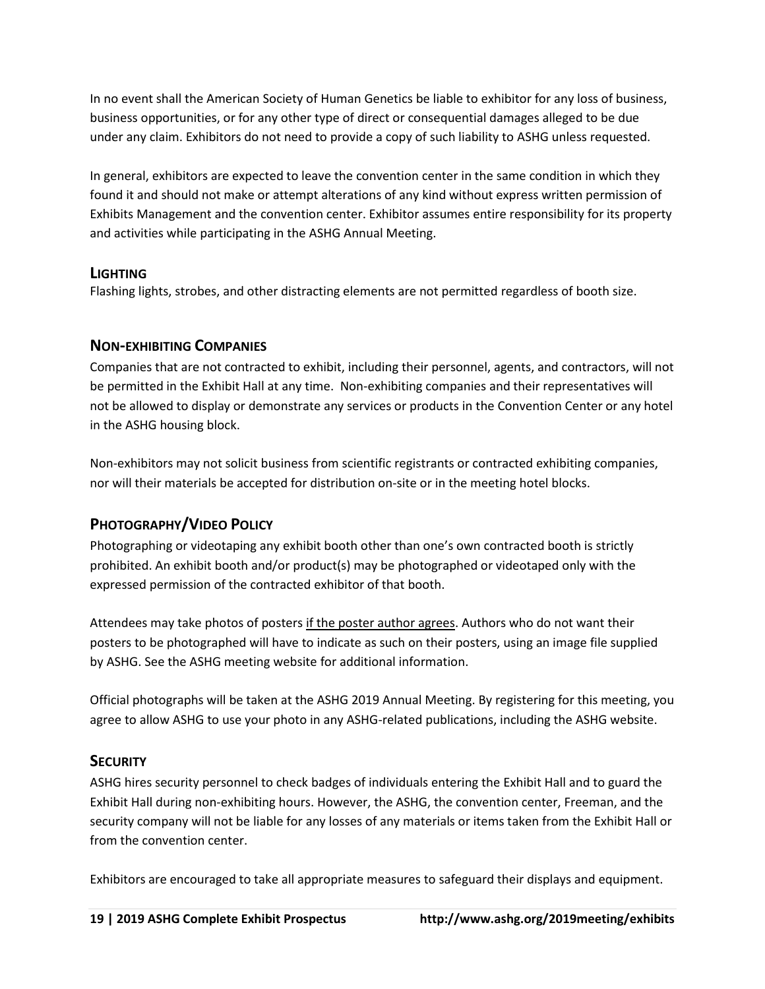In no event shall the American Society of Human Genetics be liable to exhibitor for any loss of business, business opportunities, or for any other type of direct or consequential damages alleged to be due under any claim. Exhibitors do not need to provide a copy of such liability to ASHG unless requested.

In general, exhibitors are expected to leave the convention center in the same condition in which they found it and should not make or attempt alterations of any kind without express written permission of Exhibits Management and the convention center. Exhibitor assumes entire responsibility for its property and activities while participating in the ASHG Annual Meeting.

# **LIGHTING**

Flashing lights, strobes, and other distracting elements are not permitted regardless of booth size.

# **NON-EXHIBITING COMPANIES**

Companies that are not contracted to exhibit, including their personnel, agents, and contractors, will not be permitted in the Exhibit Hall at any time. Non-exhibiting companies and their representatives will not be allowed to display or demonstrate any services or products in the Convention Center or any hotel in the ASHG housing block.

Non-exhibitors may not solicit business from scientific registrants or contracted exhibiting companies, nor will their materials be accepted for distribution on-site or in the meeting hotel blocks.

# **PHOTOGRAPHY/VIDEO POLICY**

Photographing or videotaping any exhibit booth other than one's own contracted booth is strictly prohibited. An exhibit booth and/or product(s) may be photographed or videotaped only with the expressed permission of the contracted exhibitor of that booth.

Attendees may take photos of posters if the poster author agrees. Authors who do not want their posters to be photographed will have to indicate as such on their posters, using an image file supplied by ASHG. See the ASHG meeting website for additional information.

Official photographs will be taken at the ASHG 2019 Annual Meeting. By registering for this meeting, you agree to allow ASHG to use your photo in any ASHG-related publications, including the ASHG website.

# **SECURITY**

ASHG hires security personnel to check badges of individuals entering the Exhibit Hall and to guard the Exhibit Hall during non-exhibiting hours. However, the ASHG, the convention center, Freeman, and the security company will not be liable for any losses of any materials or items taken from the Exhibit Hall or from the convention center.

Exhibitors are encouraged to take all appropriate measures to safeguard their displays and equipment.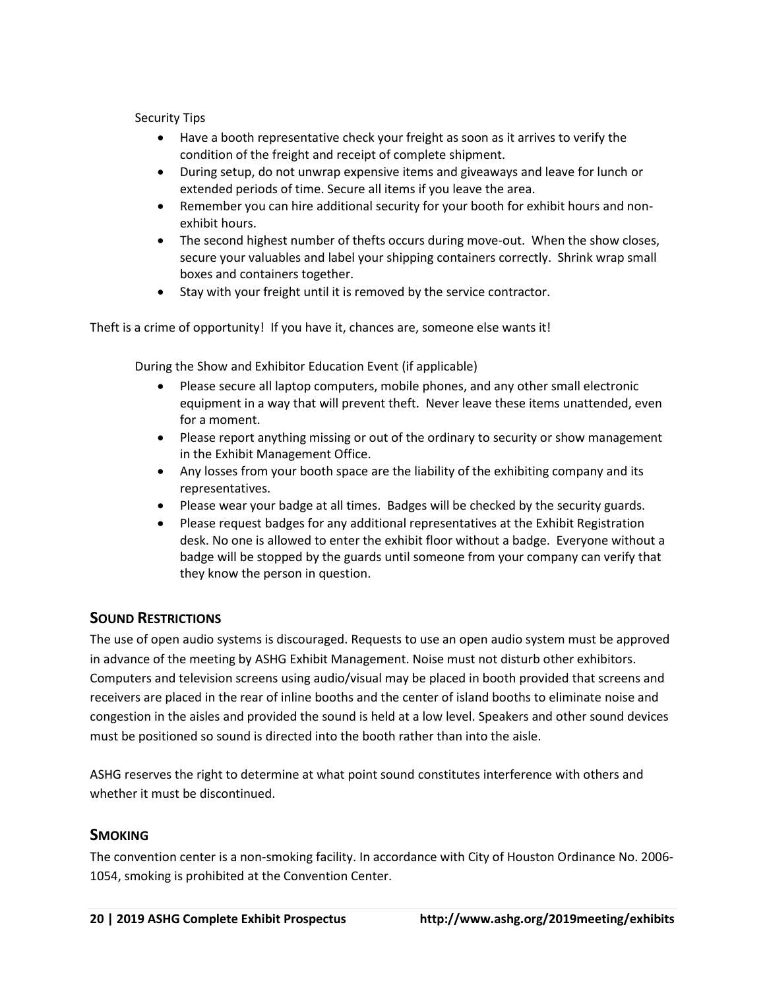Security Tips

- Have a booth representative check your freight as soon as it arrives to verify the condition of the freight and receipt of complete shipment.
- During setup, do not unwrap expensive items and giveaways and leave for lunch or extended periods of time. Secure all items if you leave the area.
- Remember you can hire additional security for your booth for exhibit hours and nonexhibit hours.
- The second highest number of thefts occurs during move-out. When the show closes, secure your valuables and label your shipping containers correctly. Shrink wrap small boxes and containers together.
- Stay with your freight until it is removed by the service contractor.

Theft is a crime of opportunity! If you have it, chances are, someone else wants it!

During the Show and Exhibitor Education Event (if applicable)

- Please secure all laptop computers, mobile phones, and any other small electronic equipment in a way that will prevent theft. Never leave these items unattended, even for a moment.
- Please report anything missing or out of the ordinary to security or show management in the Exhibit Management Office.
- Any losses from your booth space are the liability of the exhibiting company and its representatives.
- Please wear your badge at all times. Badges will be checked by the security guards.
- Please request badges for any additional representatives at the Exhibit Registration desk. No one is allowed to enter the exhibit floor without a badge. Everyone without a badge will be stopped by the guards until someone from your company can verify that they know the person in question.

# **SOUND RESTRICTIONS**

The use of open audio systems is discouraged. Requests to use an open audio system must be approved in advance of the meeting by ASHG Exhibit Management. Noise must not disturb other exhibitors. Computers and television screens using audio/visual may be placed in booth provided that screens and receivers are placed in the rear of inline booths and the center of island booths to eliminate noise and congestion in the aisles and provided the sound is held at a low level. Speakers and other sound devices must be positioned so sound is directed into the booth rather than into the aisle.

ASHG reserves the right to determine at what point sound constitutes interference with others and whether it must be discontinued.

### **SMOKING**

The convention center is a non-smoking facility. In accordance with City of Houston Ordinance No. 2006- 1054, smoking is prohibited at the Convention Center.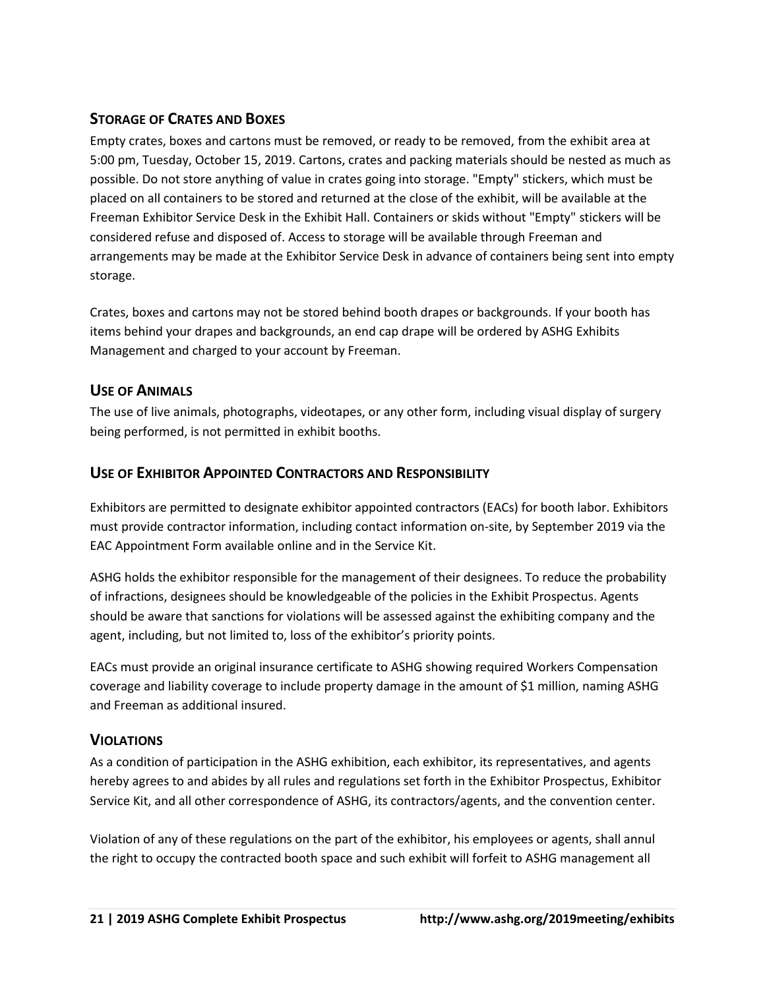# **STORAGE OF CRATES AND BOXES**

Empty crates, boxes and cartons must be removed, or ready to be removed, from the exhibit area at 5:00 pm, Tuesday, October 15, 2019. Cartons, crates and packing materials should be nested as much as possible. Do not store anything of value in crates going into storage. "Empty" stickers, which must be placed on all containers to be stored and returned at the close of the exhibit, will be available at the Freeman Exhibitor Service Desk in the Exhibit Hall. Containers or skids without "Empty" stickers will be considered refuse and disposed of. Access to storage will be available through Freeman and arrangements may be made at the Exhibitor Service Desk in advance of containers being sent into empty storage.

Crates, boxes and cartons may not be stored behind booth drapes or backgrounds. If your booth has items behind your drapes and backgrounds, an end cap drape will be ordered by ASHG Exhibits Management and charged to your account by Freeman.

# **USE OF ANIMALS**

The use of live animals, photographs, videotapes, or any other form, including visual display of surgery being performed, is not permitted in exhibit booths.

# **USE OF EXHIBITOR APPOINTED CONTRACTORS AND RESPONSIBILITY**

Exhibitors are permitted to designate exhibitor appointed contractors (EACs) for booth labor. Exhibitors must provide contractor information, including contact information on-site, by September 2019 via the EAC Appointment Form available online and in the Service Kit.

ASHG holds the exhibitor responsible for the management of their designees. To reduce the probability of infractions, designees should be knowledgeable of the policies in the Exhibit Prospectus. Agents should be aware that sanctions for violations will be assessed against the exhibiting company and the agent, including, but not limited to, loss of the exhibitor's priority points.

EACs must provide an original insurance certificate to ASHG showing required Workers Compensation coverage and liability coverage to include property damage in the amount of \$1 million, naming ASHG and Freeman as additional insured.

### **VIOLATIONS**

As a condition of participation in the ASHG exhibition, each exhibitor, its representatives, and agents hereby agrees to and abides by all rules and regulations set forth in the Exhibitor Prospectus, Exhibitor Service Kit, and all other correspondence of ASHG, its contractors/agents, and the convention center.

Violation of any of these regulations on the part of the exhibitor, his employees or agents, shall annul the right to occupy the contracted booth space and such exhibit will forfeit to ASHG management all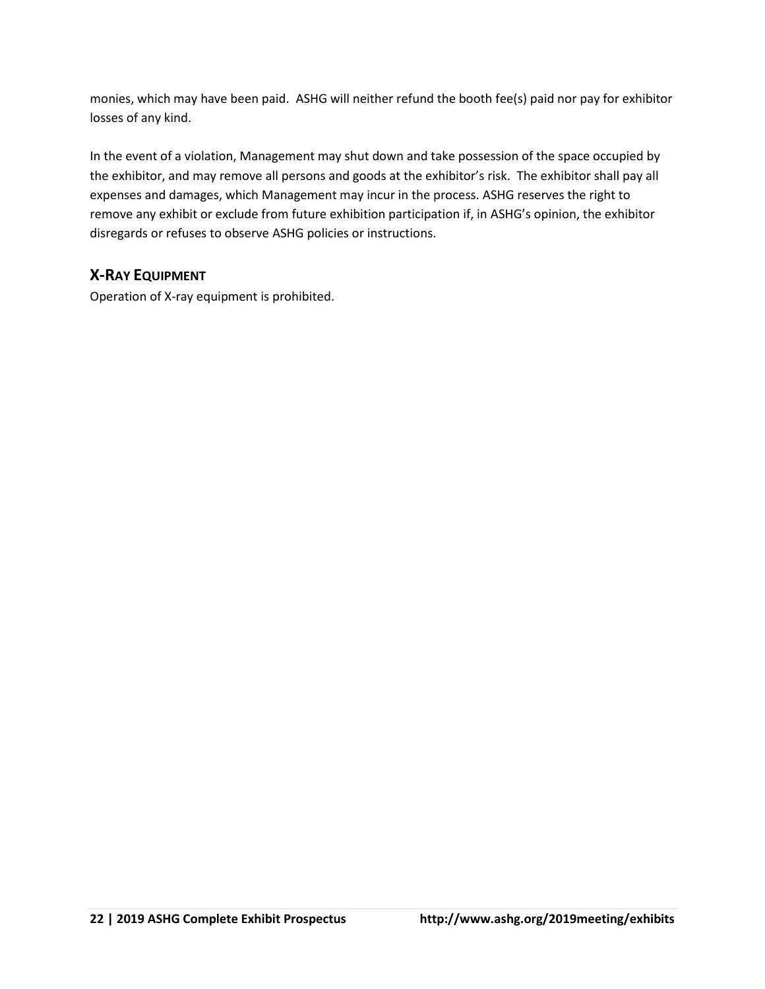monies, which may have been paid. ASHG will neither refund the booth fee(s) paid nor pay for exhibitor losses of any kind.

In the event of a violation, Management may shut down and take possession of the space occupied by the exhibitor, and may remove all persons and goods at the exhibitor's risk. The exhibitor shall pay all expenses and damages, which Management may incur in the process. ASHG reserves the right to remove any exhibit or exclude from future exhibition participation if, in ASHG's opinion, the exhibitor disregards or refuses to observe ASHG policies or instructions.

# **X-RAY EQUIPMENT**

Operation of X-ray equipment is prohibited.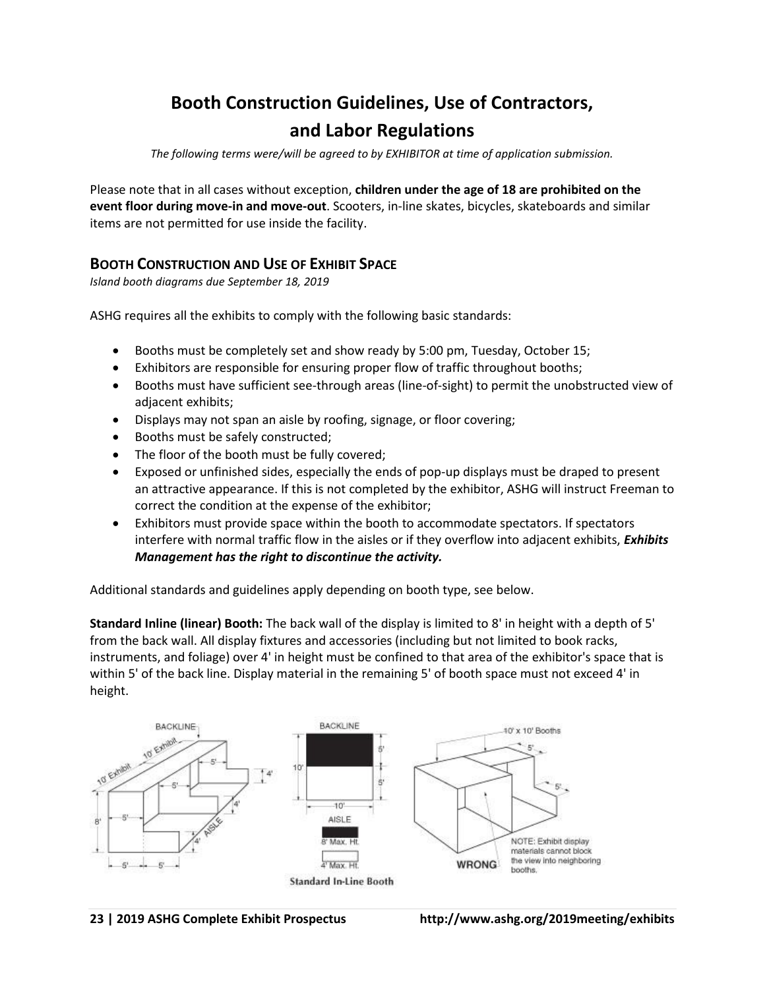# **Booth Construction Guidelines, Use of Contractors, and Labor Regulations**

*The following terms were/will be agreed to by EXHIBITOR at time of application submission.* 

Please note that in all cases without exception, **children under the age of 18 are prohibited on the event floor during move-in and move-out**. Scooters, in-line skates, bicycles, skateboards and similar items are not permitted for use inside the facility.

# **BOOTH CONSTRUCTION AND USE OF EXHIBIT SPACE**

*Island booth diagrams due September 18, 2019*

ASHG requires all the exhibits to comply with the following basic standards:

- Booths must be completely set and show ready by 5:00 pm, Tuesday, October 15;
- Exhibitors are responsible for ensuring proper flow of traffic throughout booths;
- Booths must have sufficient see-through areas (line-of-sight) to permit the unobstructed view of adjacent exhibits;
- Displays may not span an aisle by roofing, signage, or floor covering;
- Booths must be safely constructed;
- The floor of the booth must be fully covered;
- Exposed or unfinished sides, especially the ends of pop-up displays must be draped to present an attractive appearance. If this is not completed by the exhibitor, ASHG will instruct Freeman to correct the condition at the expense of the exhibitor;
- Exhibitors must provide space within the booth to accommodate spectators. If spectators interfere with normal traffic flow in the aisles or if they overflow into adjacent exhibits, *Exhibits Management has the right to discontinue the activity.*

Additional standards and guidelines apply depending on booth type, see below.

**Standard Inline (linear) Booth:** The back wall of the display is limited to 8' in height with a depth of 5' from the back wall. All display fixtures and accessories (including but not limited to book racks, instruments, and foliage) over 4' in height must be confined to that area of the exhibitor's space that is within 5' of the back line. Display material in the remaining 5' of booth space must not exceed 4' in height.

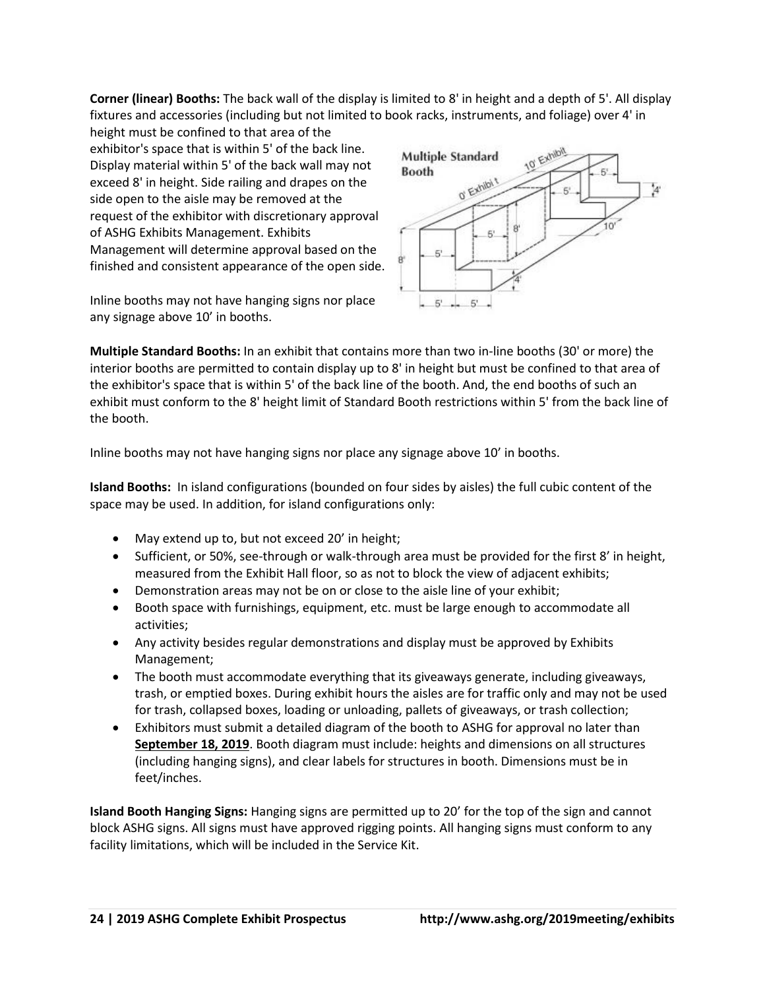**Corner (linear) Booths:** The back wall of the display is limited to 8' in height and a depth of 5'. All display fixtures and accessories (including but not limited to book racks, instruments, and foliage) over 4' in

height must be confined to that area of the exhibitor's space that is within 5' of the back line. Display material within 5' of the back wall may not exceed 8' in height. Side railing and drapes on the side open to the aisle may be removed at the request of the exhibitor with discretionary approval of ASHG Exhibits Management. Exhibits Management will determine approval based on the finished and consistent appearance of the open side.

Inline booths may not have hanging signs nor place any signage above 10' in booths.



**Multiple Standard Booths:** In an exhibit that contains more than two in-line booths (30' or more) the interior booths are permitted to contain display up to 8' in height but must be confined to that area of the exhibitor's space that is within 5' of the back line of the booth. And, the end booths of such an exhibit must conform to the 8' height limit of Standard Booth restrictions within 5' from the back line of the booth.

Inline booths may not have hanging signs nor place any signage above 10' in booths.

**Island Booths:** In island configurations (bounded on four sides by aisles) the full cubic content of the space may be used. In addition, for island configurations only:

- May extend up to, but not exceed 20' in height;
- Sufficient, or 50%, see-through or walk-through area must be provided for the first 8' in height, measured from the Exhibit Hall floor, so as not to block the view of adjacent exhibits;
- Demonstration areas may not be on or close to the aisle line of your exhibit;
- Booth space with furnishings, equipment, etc. must be large enough to accommodate all activities;
- Any activity besides regular demonstrations and display must be approved by Exhibits Management;
- The booth must accommodate everything that its giveaways generate, including giveaways, trash, or emptied boxes. During exhibit hours the aisles are for traffic only and may not be used for trash, collapsed boxes, loading or unloading, pallets of giveaways, or trash collection;
- Exhibitors must submit a detailed diagram of the booth to ASHG for approval no later than **September 18, 2019**. Booth diagram must include: heights and dimensions on all structures (including hanging signs), and clear labels for structures in booth. Dimensions must be in feet/inches.

**Island Booth Hanging Signs:** Hanging signs are permitted up to 20' for the top of the sign and cannot block ASHG signs. All signs must have approved rigging points. All hanging signs must conform to any facility limitations, which will be included in the Service Kit.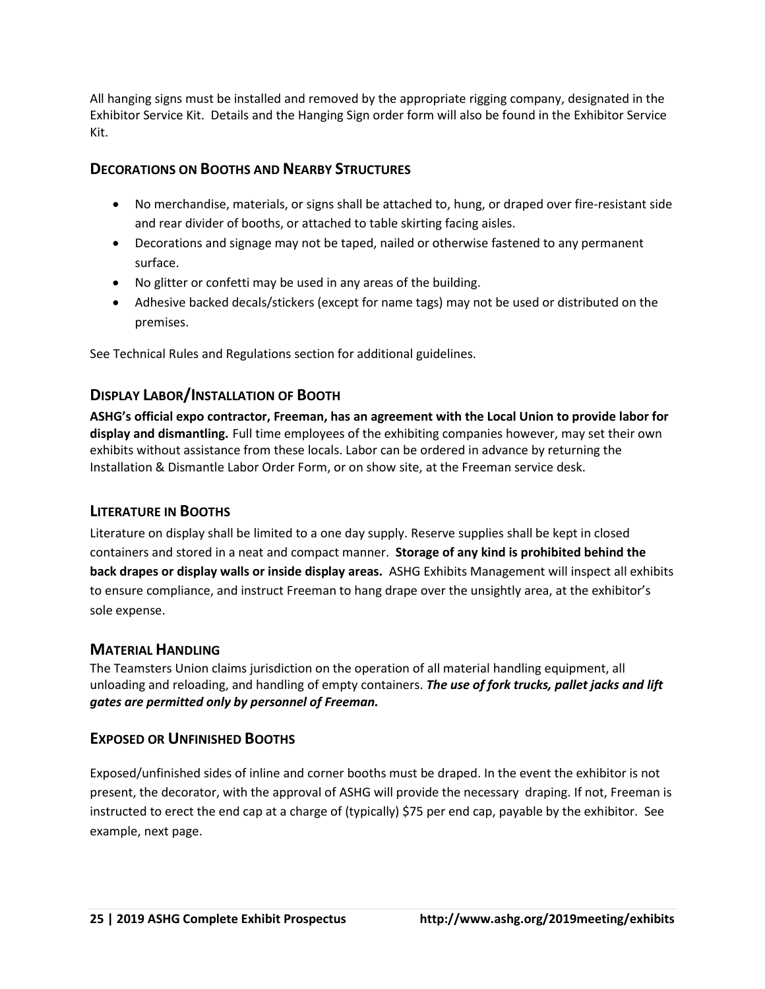All hanging signs must be installed and removed by the appropriate rigging company, designated in the Exhibitor Service Kit. Details and the Hanging Sign order form will also be found in the Exhibitor Service Kit.

# **DECORATIONS ON BOOTHS AND NEARBY STRUCTURES**

- No merchandise, materials, or signs shall be attached to, hung, or draped over fire-resistant side and rear divider of booths, or attached to table skirting facing aisles.
- Decorations and signage may not be taped, nailed or otherwise fastened to any permanent surface.
- No glitter or confetti may be used in any areas of the building.
- Adhesive backed decals/stickers (except for name tags) may not be used or distributed on the premises.

See Technical Rules and Regulations section for additional guidelines.

# **DISPLAY LABOR/INSTALLATION OF BOOTH**

**ASHG's official expo contractor, Freeman, has an agreement with the Local Union to provide labor for display and dismantling.** Full time employees of the exhibiting companies however, may set their own exhibits without assistance from these locals. Labor can be ordered in advance by returning the Installation & Dismantle Labor Order Form, or on show site, at the Freeman service desk.

# **LITERATURE IN BOOTHS**

Literature on display shall be limited to a one day supply. Reserve supplies shall be kept in closed containers and stored in a neat and compact manner. **Storage of any kind is prohibited behind the back drapes or display walls or inside display areas.** ASHG Exhibits Management will inspect all exhibits to ensure compliance, and instruct Freeman to hang drape over the unsightly area, at the exhibitor's sole expense.

# **MATERIAL HANDLING**

The Teamsters Union claims jurisdiction on the operation of all material handling equipment, all unloading and reloading, and handling of empty containers. *The use of fork trucks, pallet jacks and lift gates are permitted only by personnel of Freeman.*

# **EXPOSED OR UNFINISHED BOOTHS**

Exposed/unfinished sides of inline and corner booths must be draped. In the event the exhibitor is not present, the decorator, with the approval of ASHG will provide the necessary draping. If not, Freeman is instructed to erect the end cap at a charge of (typically) \$75 per end cap, payable by the exhibitor. See example, next page.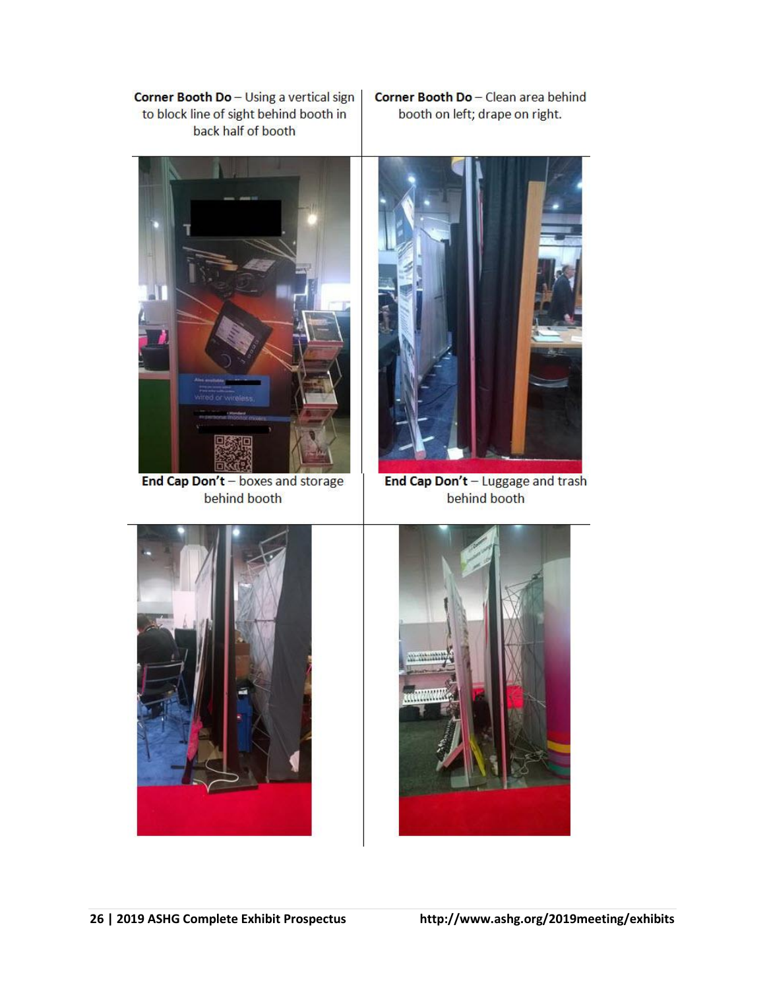Corner Booth Do - Using a vertical sign to block line of sight behind booth in back half of booth

Corner Booth Do - Clean area behind booth on left; drape on right.



End Cap Don't - boxes and storage behind booth



End Cap Don't - Luggage and trash behind booth



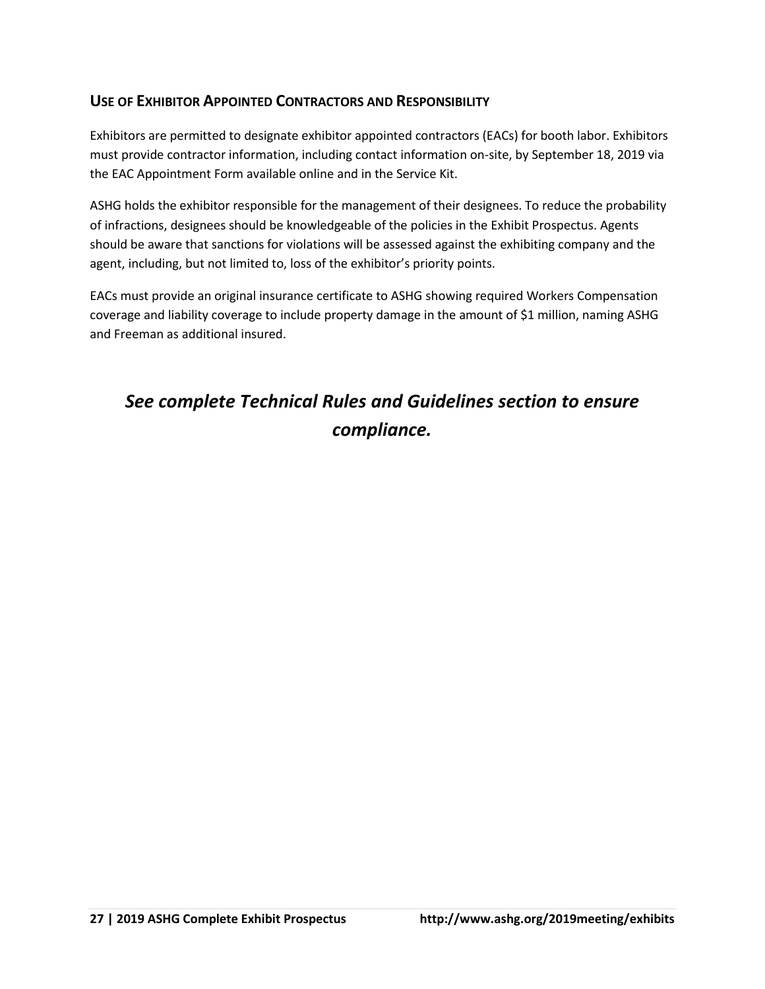# **USE OF EXHIBITOR APPOINTED CONTRACTORS AND RESPONSIBILITY**

Exhibitors are permitted to designate exhibitor appointed contractors (EACs) for booth labor. Exhibitors must provide contractor information, including contact information on-site, by September 18, 2019 via the EAC Appointment Form available online and in the Service Kit.

ASHG holds the exhibitor responsible for the management of their designees. To reduce the probability of infractions, designees should be knowledgeable of the policies in the Exhibit Prospectus. Agents should be aware that sanctions for violations will be assessed against the exhibiting company and the agent, including, but not limited to, loss of the exhibitor's priority points.

EACs must provide an original insurance certificate to ASHG showing required Workers Compensation coverage and liability coverage to include property damage in the amount of \$1 million, naming ASHG and Freeman as additional insured.

# *See complete Technical Rules and Guidelines section to ensure compliance.*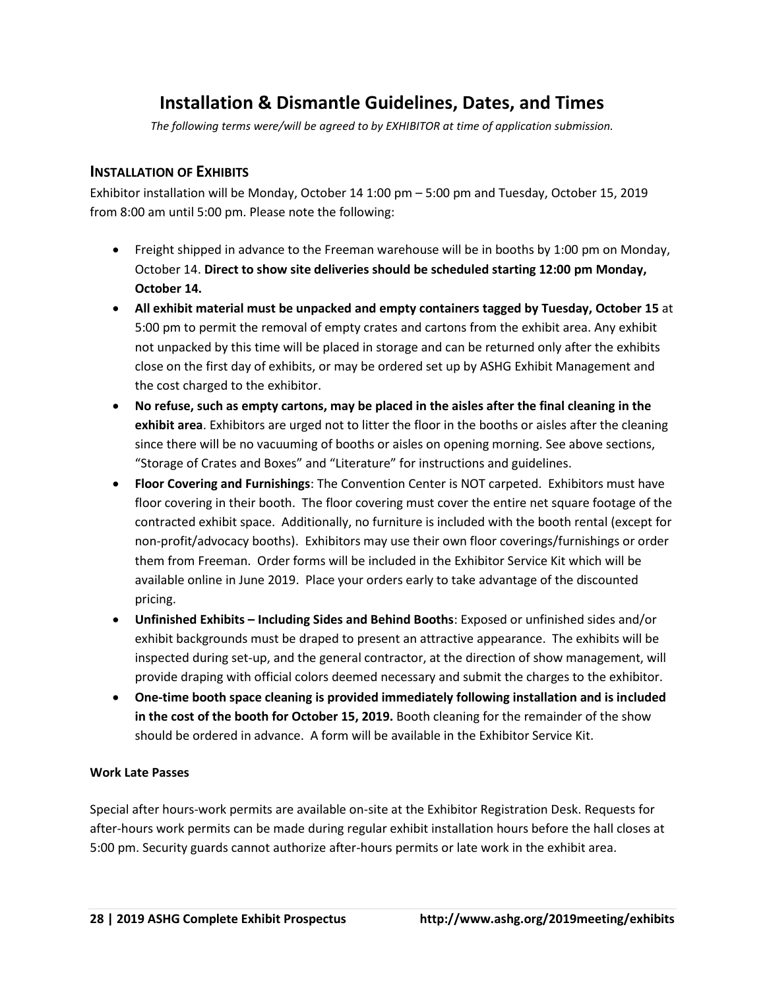# **Installation & Dismantle Guidelines, Dates, and Times**

*The following terms were/will be agreed to by EXHIBITOR at time of application submission.* 

# **INSTALLATION OF EXHIBITS**

Exhibitor installation will be Monday, October 14 1:00 pm – 5:00 pm and Tuesday, October 15, 2019 from 8:00 am until 5:00 pm. Please note the following:

- Freight shipped in advance to the Freeman warehouse will be in booths by 1:00 pm on Monday, October 14. **Direct to show site deliveries should be scheduled starting 12:00 pm Monday, October 14.**
- **All exhibit material must be unpacked and empty containers tagged by Tuesday, October 15** at 5:00 pm to permit the removal of empty crates and cartons from the exhibit area. Any exhibit not unpacked by this time will be placed in storage and can be returned only after the exhibits close on the first day of exhibits, or may be ordered set up by ASHG Exhibit Management and the cost charged to the exhibitor.
- **No refuse, such as empty cartons, may be placed in the aisles after the final cleaning in the exhibit area**. Exhibitors are urged not to litter the floor in the booths or aisles after the cleaning since there will be no vacuuming of booths or aisles on opening morning. See above sections, "Storage of Crates and Boxes" and "Literature" for instructions and guidelines.
- **Floor Covering and Furnishings**: The Convention Center is NOT carpeted. Exhibitors must have floor covering in their booth. The floor covering must cover the entire net square footage of the contracted exhibit space. Additionally, no furniture is included with the booth rental (except for non-profit/advocacy booths). Exhibitors may use their own floor coverings/furnishings or order them from Freeman. Order forms will be included in the Exhibitor Service Kit which will be available online in June 2019. Place your orders early to take advantage of the discounted pricing.
- **Unfinished Exhibits – Including Sides and Behind Booths**: Exposed or unfinished sides and/or exhibit backgrounds must be draped to present an attractive appearance. The exhibits will be inspected during set-up, and the general contractor, at the direction of show management, will provide draping with official colors deemed necessary and submit the charges to the exhibitor.
- **One-time booth space cleaning is provided immediately following installation and is included in the cost of the booth for October 15, 2019.** Booth cleaning for the remainder of the show should be ordered in advance. A form will be available in the Exhibitor Service Kit.

#### **Work Late Passes**

Special after hours-work permits are available on-site at the Exhibitor Registration Desk. Requests for after-hours work permits can be made during regular exhibit installation hours before the hall closes at 5:00 pm. Security guards cannot authorize after-hours permits or late work in the exhibit area.